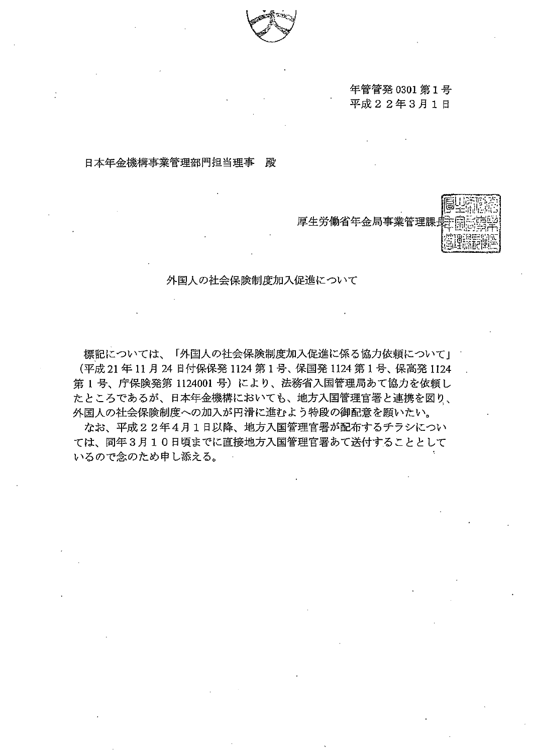

### 年管管発 0301 第1号 平成 2 2 年 3 月 1 日

## 日本年金機構事業管理部門担当理事 殿



外国人の社会保険制度加入促進について

標記については、「外国人の社会保険制度加入促進に係る協力依頼について」 (平成 21年 11月 24日付保保発 1124 第1号、保国発 1124 第1号、保高発 1124 1号、庁保険発第 1124001号)により、法務省入国管理局あて協力を依頼し たところであるが、日本年金機構においても、地方入国管理官署と連携を図り、 外国人の社会保険制度への加入が円滑に進むよう特段の御配意を願いたい。

なお、平成22年4月1日以降、地方入国管理官署が配布するチラシについ ては、同年 3 10日頃までに直接地方入国管理官署あて送付することとして いるので念のため申し添える。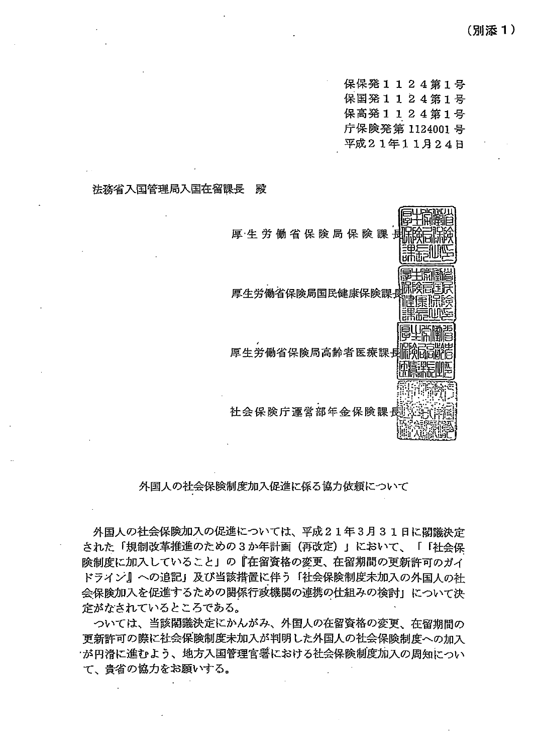保保発1124第1号 保国発1124第1号 保高発1124第1号 庁保険発第 1124001 平成21年11月24日

### 法務省入国管理局入国在留課長 殿



### 外国人の社会保険制度加入促進に係る協力依頼について

外国人の社会保険加入の促進については、平成21年3月31日に閣議決定 された「規制改革推進のための3か年計画 (再改定)」において、「「社会保 険制度に加入していることj の『在留資格の変更、在留期間の更新許可のガイ ドラギジ』への追記j 及び当該措置に伴う f社会保険制度未加入の外国人の社 会保険加入を促進するための関係行政機関の連携の仕組みの検討」について決 定がなされているところである。 '

ついては、当該閣議決定にかんがみ、外国人の在留資格の変更、在留期間の 更新許可の際に社会保険制度未加入が判明した外国人の社会保険制度への加入 ・が円滑に進むよう、地方入国管理官暑における社会保険制度加入の周知につい て、貴省の協力をお願いする。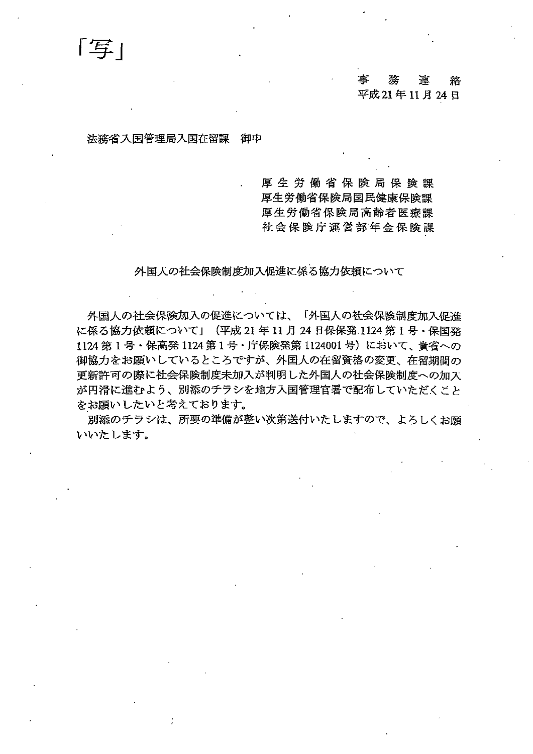# ・<br>事務連絡 平成21年11月24日

### 法務省入国管理局入国在留課 御中

「写」

厚生労働省保険局保険課 厚生労働省保険局国民健康保険課 厚生労働省保険局高齢者医療課 社会保険庁運営部年金保険課

外国人の社会保険制度加入促進に係る協カ依頼について

外国人の社会保険加入の促進については、「外国人の社会保険制度加入促進 に係る協力依頼について」(平成 21年11月 24日保保発 1124 第1号・保国発 1124 第1号・保高発 1124 第1号・庁保険発第 1124001号)において、貴省への 御協力をお願いしているところですが、外国人の在留資格の変更、在留期間の 更新許可の際に社会保険制度未加入が判明した外国人の社会保険制度への加 が円滑に進むよう、別添のチラシを地方入国管理官暑で配布していただくこと をお願いしたいと考えております。

別添のチラシは、所要の準備が整い次第送付いたしますので、よろしくお願 いいたします。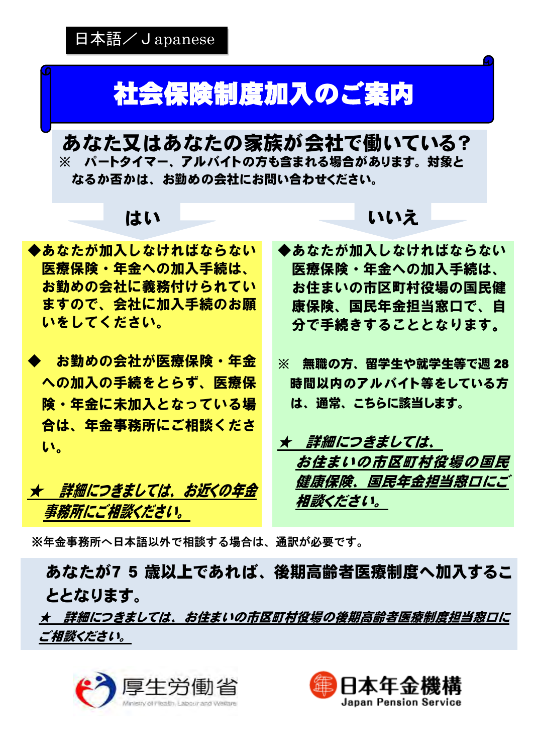# 社会保険制度加入のご案内

あなた又はあなたの家族が会社で働いている? ※ パートタイマー、アルバイトの方も含まれる場合があります。対象と なるか否かは、お勤めの会社にお問い合わせください。

◆あなたが加入しなければならない 医療保険・年金への加入手続は、 お勤めの会社に義務付けられてい ますので、会社に加入手続のお願 いをしてください。

◆ お勤めの会社が医療保険・年金 への加入の手続をとらず、医療保 険・年金に未加入となっている場 合は、年金事務所にご相談くださ い。

★ 詳細につきましては、お近くの年金 事務所にご相談ください。

# はい いいえ

- ◆あなたが加入しなければならない 医療保険・年金への加入手続は、 お住まいの市区町村役場の国民健 康保険、国民年金担当窓口で、自 分で手続きすることとなります。
- ※ 無職の方、留学生や就学生等で週 28 時間以内のアルバイト等をしている方 は、通常、こちらに該当します。

★ 詳細につきましては、 お住まいの市区町村役場の国民 健康保険、国民年金担当窓口にこ 相談ください。

※年金事務所へ日本語以外で相談する場合は、通訳が必要です。

あなたが7 5 歳以上であれば、後期高齢者医療制度へ加入するこ ととなります。

★ 詳細につきましては、お住まいの市区町村役場の後期高齢者医療制度担当窓口に ご相談ください。



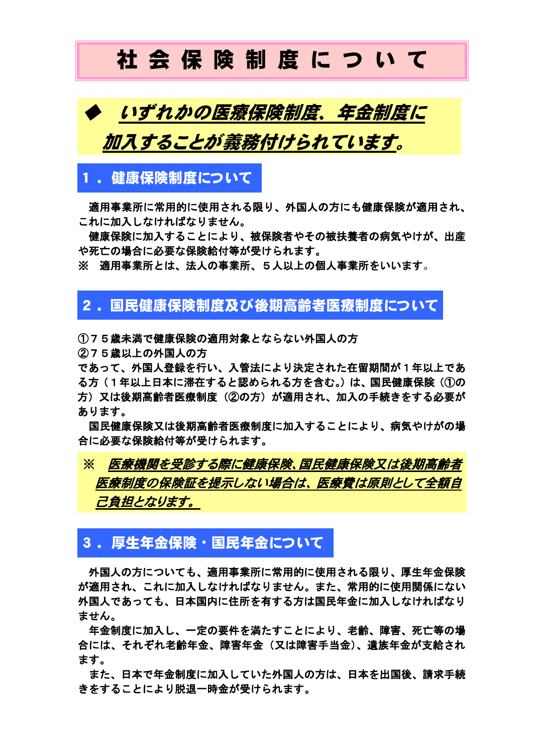# 社 会 保 険 制 度 に つ い て



## 1 .健康保険制度について

適用事業所に常用的に使用される限り、外国人の方にも健康保険が適用され、 これに加入しなければなりません。

 健康保険に加入することにより、被保険者やその被扶養者の病気やけが、出産 や死亡の場合に必要な保険給付等が受けられます。

※ 適用事業所とは、法人の事業所、5人以上の個人事業所をいいます。

# 2. 国民健康保険制度及び後期高齢者医療制度について

①75歳未満で健康保険の適用対象とならない外国人の方

②75歳以上の外国人の方

Ξ

であって、外国人登録を行い、入管法により決定された在留期間が1年以上であ る方(1年以上日本に滞在すると認められる方を含む。)は、国民健康保険(①の 方)又は後期高齢者医療制度(②の方)が適用され、加入の手続きをする必要が あります。

 国民健康保険又は後期高齢者医療制度に加入することにより、病気やけがの場 合に必要な保険給付等が受けられます。

# ※ 医療機関を受診する際に健康保険、国民健康保険又は後期高齢者 医療制度の保険証を提示しない場合は、医療費は原則として全額自 己負担となります。

## 3. 厚生年金保険・国民年金について

外国人の方についても、適用事業所に常用的に使用される限り、厚生年金保険 が適用され、これに加入しなければなりません。また、常用的に使用関係にない 外国人であっても、日本国内に住所を有する方は国民年金に加入しなければなり ません。

 年金制度に加入し、一定の要件を満たすことにより、老齢、障害、死亡等の場 合には、それぞれ老齢年金、障害年金(又は障害手当金)、遺族年金が支給され ます。

 また、日本で年金制度に加入していた外国人の方は、日本を出国後、請求手続 きをすることにより脱退一時金が受けられます。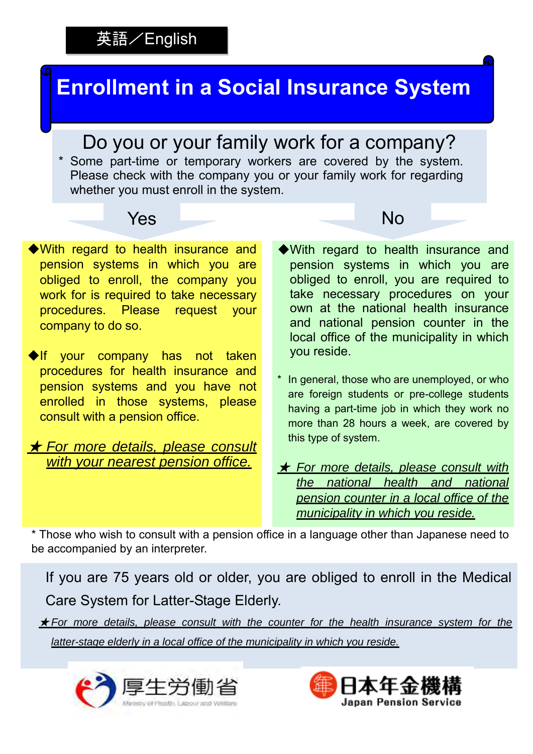# 英語/English

# **Enrollment in a Social Insurance System**

Do you or your family work for a company?

 whether you must enroll in the system. \* Some part-time or temporary workers are covered by the system. Please check with the company you or your family work for regarding



- ◆With regard to health insurance and pension systems in which you are obliged to enroll, the company you work for is required to take necessary procedures. Please request your company to do so.
- ◆If your company has not taken procedures for health insurance and pension systems and you have not enrolled in those systems, please consult with a pension office.

## ★ *For more details, please consult with your nearest pension office.*

- ◆With regard to health insurance and pension systems in which you are obliged to enroll, you are required to take necessary procedures on your own at the national health insurance and national pension counter in the local office of the municipality in which you reside.
- \* In general, those who are unemployed, or who are foreign students or pre-college students having a part-time job in which they work no more than 28 hours a week, are covered by this type of system.
- ★ *For more details, please consult with the national health and national pension counter in a local office of the municipality in which you reside.*

\* Those who wish to consult with a pension office in a language other than Japanese need to be accompanied by an interpreter.

If you are 75 years old or older, you are obliged to enroll in the Medical Care System for Latter-Stage Elderly.

★ *For more details, please consult with the counter for the health insurance system for the latter-stage elderly in a local office of the municipality in which you reside.*



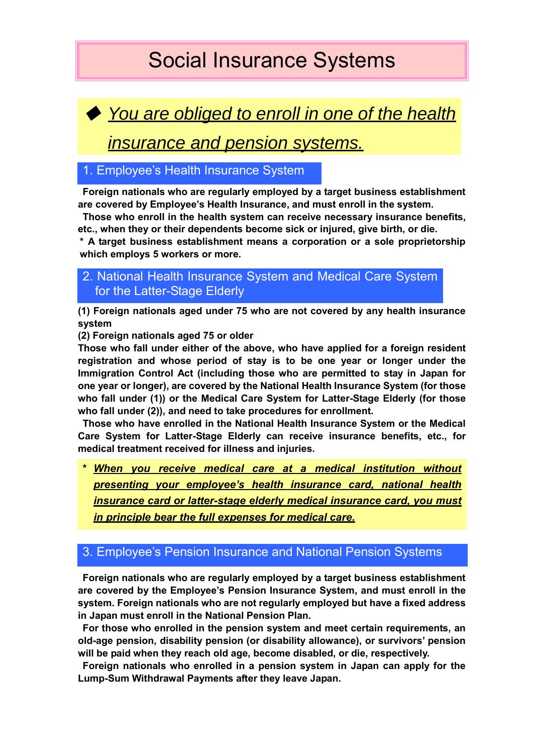# Social Insurance Systems

◆ *You are obliged to enroll in one of the health* 

*insurance and pension systems.*

## 1. Employee's Health Insurance System

**Foreign nationals who are regularly employed by a target business establishment are covered by Employee's Health Insurance, and must enroll in the system.** 

**Those who enroll in the health system can receive necessary insurance benefits, etc., when they or their dependents become sick or injured, give birth, or die.** 

**\* A target business establishment means a corporation or a sole proprietorship which employs 5 workers or more.**

## 2. National Health Insurance System and Medical Care System for the Latter-Stage Elderly

**(1) Foreign nationals aged under 75 who are not covered by any health insurance system** 

**(2) Foreign nationals aged 75 or older** 

**Those who fall under either of the above, who have applied for a foreign resident registration and whose period of stay is to be one year or longer under the Immigration Control Act (including those who are permitted to stay in Japan for one year or longer), are covered by the National Health Insurance System (for those who fall under (1)) or the Medical Care System for Latter-Stage Elderly (for those who fall under (2)), and need to take procedures for enrollment.** 

**Those who have enrolled in the National Health Insurance System or the Medical Care System for Latter-Stage Elderly can receive insurance benefits, etc., for medical treatment received for illness and injuries.** 

**\*** *When you receive medical care at a medical institution without presenting your employee's health insurance card, national health insurance card or latter-stage elderly medical insurance card, you must in principle bear the full expenses for medical care.*

## 3. Employee's Pension Insurance and National Pension Systems

**Foreign nationals who are regularly employed by a target business establishment are covered by the Employee's Pension Insurance System, and must enroll in the system. Foreign nationals who are not regularly employed but have a fixed address in Japan must enroll in the National Pension Plan.** 

**For those who enrolled in the pension system and meet certain requirements, an old-age pension, disability pension (or disability allowance), or survivors' pension will be paid when they reach old age, become disabled, or die, respectively.** 

**Foreign nationals who enrolled in a pension system in Japan can apply for the Lump-Sum Withdrawal Payments after they leave Japan.**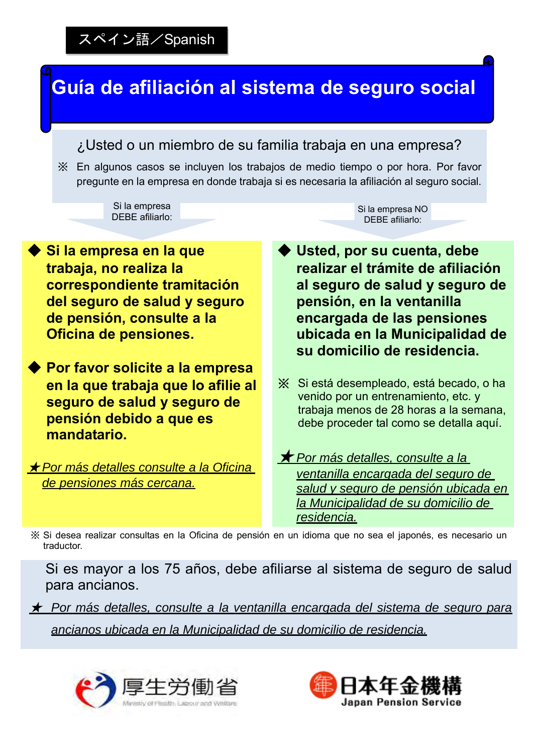## **Guía de afiliación al sistema de seguro social** ◆ Si la empresa en la que **trabaja, no realiza la correspondiente tramitación del seguro de salud y seguro de pensión, consulte a la Oficina de pensiones.** ◆ **Por favor solicite a la empresa en la que trabaja que lo afilie al seguro de salud y seguro de pensión debido a que es mandatario.** ★ *Por más detalles consulte a la Oficina de pensiones más cercana.* ¿Usted o un miembro de su familia trabaja en una empresa? ※ En algunos casos se incluyen los trabajos de medio tiempo o por hora. Por favor pregunte en la empresa en donde trabaja si es necesaria la afiliación al seguro social. ◆ **Usted, por su cuenta, debe realizar el trámite de afiliación al seguro de salud y seguro de pensión, en la ventanilla encargada de las pensiones ubicada en la Municipalidad de su domicilio de residencia.** ※ Si está desempleado, está becado, o ha venido por un entrenamiento, etc. y trabaja menos de 28 horas a la semana, debe proceder tal como se detalla aquí. ★ *Por más detalles, consulte a la ventanilla encargada del seguro de salud y seguro de pensión ubicada en la Municipalidad de su domicilio de residencia.* Si la empresa DEBE afiliarlo: Si la empresa NO DEBE afiliarlo: スペイン語/Spanish ※ Si desea realizar consultas en la Oficina de pensión en un idioma que no sea el japonés, es necesario un traductor.

Si es mayor a los 75 años, debe afiliarse al sistema de seguro de salud para ancianos.

★ *Por más detalles, consulte a la ventanilla encargada del sistema de seguro para ancianos ubicada en la Municipalidad de su domicilio de residencia.*



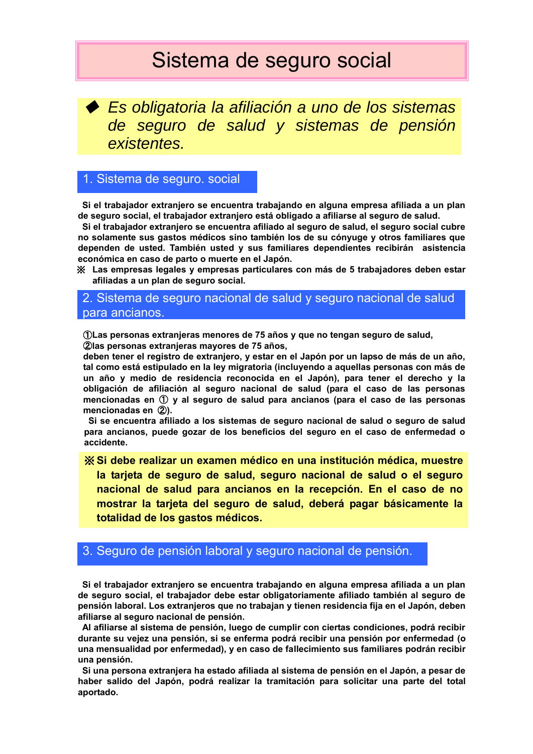# Sistema de seguro social

◆ *Es obligatoria la afiliación a uno de los sistemas de seguro de salud y sistemas de pensión existentes.*

## 1. Sistema de seguro. social

**Si el trabajador extranjero se encuentra trabajando en alguna empresa afiliada a un plan de seguro social, el trabajador extranjero está obligado a afiliarse al seguro de salud.** 

**Si el trabajador extranjero se encuentra afiliado al seguro de salud, el seguro social cubre no solamente sus gastos médicos sino también los de su cónyuge y otros familiares que dependen de usted. También usted y sus familiares dependientes recibirán asistencia económica en caso de parto o muerte en el Japón.** 

※ **Las empresas legales y empresas particulares con más de 5 trabajadores deben estar afiliadas a un plan de seguro social.** 

### 2. Sistema de seguro nacional de salud y seguro nacional de salud para ancianos.

①**Las personas extranjeras menores de 75 años y que no tengan seguro de salud,**  ②**las personas extranjeras mayores de 75 años,** 

**deben tener el registro de extranjero, y estar en el Japón por un lapso de más de un año, tal como está estipulado en la ley migratoria (incluyendo a aquellas personas con más de un año y medio de residencia reconocida en el Japón), para tener el derecho y la obligación de afiliación al seguro nacional de salud (para el caso de las personas mencionadas en** ① **y al seguro de salud para ancianos (para el caso de las personas mencionadas en** ②**).** 

**Si se encuentra afiliado a los sistemas de seguro nacional de salud o seguro de salud para ancianos, puede gozar de los beneficios del seguro en el caso de enfermedad o accidente.** 

※ **Si debe realizar un examen médico en una institución médica, muestre la tarjeta de seguro de salud, seguro nacional de salud o el seguro nacional de salud para ancianos en la recepción. En el caso de no mostrar la tarjeta del seguro de salud, deberá pagar básicamente la totalidad de los gastos médicos.**

### 3. Seguro de pensión laboral y seguro nacional de pensión.

**Si el trabajador extranjero se encuentra trabajando en alguna empresa afiliada a un plan de seguro social, el trabajador debe estar obligatoriamente afiliado también al seguro de pensión laboral. Los extranjeros que no trabajan y tienen residencia fija en el Japón, deben afiliarse al seguro nacional de pensión.** 

**Al afiliarse al sistema de pensión, luego de cumplir con ciertas condiciones, podrá recibir durante su vejez una pensión, si se enferma podrá recibir una pensión por enfermedad (o una mensualidad por enfermedad), y en caso de fallecimiento sus familiares podrán recibir una pensión.** 

**Si una persona extranjera ha estado afiliada al sistema de pensión en el Japón, a pesar de haber salido del Japón, podrá realizar la tramitación para solicitar una parte del total aportado.**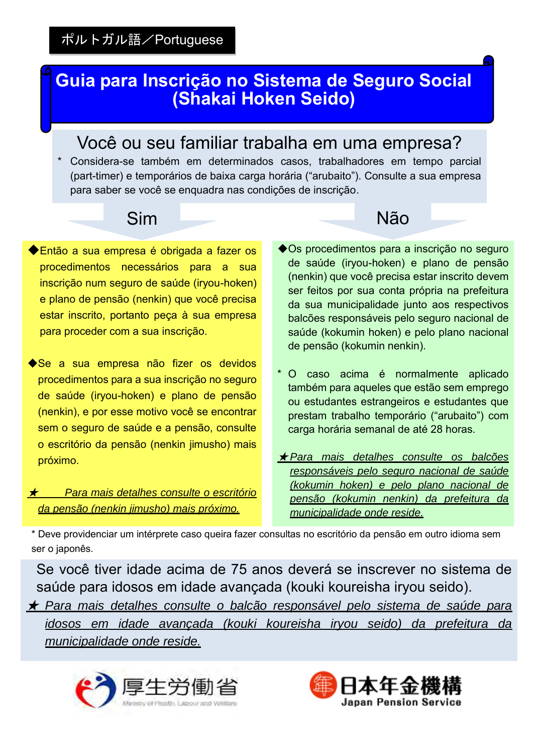# **Guia para Inscrição no Sistema de Seguro Social (Shakai Hoken Seido)**

# Você ou seu familiar trabalha em uma empresa?

 para saber se você se enquadra nas condições de inscrição. \* Considera-se também em determinados casos, trabalhadores em tempo parcial (part-timer) e temporários de baixa carga horária ("arubaito"). Consulte a sua empresa

- ◆Então a sua empresa é obrigada a fazer os procedimentos necessários para a sua inscrição num seguro de saúde (iryou-hoken) e plano de pensão (nenkin) que você precisa estar inscrito, portanto peça à sua empresa para proceder com a sua inscrição.
- ◆Se a sua empresa não fizer os devidos procedimentos para a sua inscrição no seguro de saúde (iryou-hoken) e plano de pensão (nenkin), e por esse motivo você se encontrar sem o seguro de saúde e a pensão, consulte o escritório da pensão (nenkin jimusho) mais próximo.

★ *Para mais detalhes consulte o escritório da pensão (nenkin jimusho) mais próximo.*

- Sim Não
	- ◆Os procedimentos para a inscrição no seguro de saúde (iryou-hoken) e plano de pensão (nenkin) que você precisa estar inscrito devem ser feitos por sua conta própria na prefeitura da sua municipalidade junto aos respectivos balcões responsáveis pelo seguro nacional de saúde (kokumin hoken) e pelo plano nacional de pensão (kokumin nenkin).
	- \* O caso acima é normalmente aplicado também para aqueles que estão sem emprego ou estudantes estrangeiros e estudantes que prestam trabalho temporário ("arubaito") com carga horária semanal de até 28 horas.
	- ★ *Para mais detalhes consulte os balcões responsáveis pelo seguro nacional de saúde (kokumin hoken) e pelo plano nacional de pensão (kokumin nenkin) da prefeitura da municipalidade onde reside.*

\* Deve providenciar um intérprete caso queira fazer consultas no escritório da pensão em outro idioma sem ser o japonês.

Se você tiver idade acima de 75 anos deverá se inscrever no sistema de saúde para idosos em idade avançada (kouki koureisha iryou seido).

★ *Para mais detalhes consulte o balcão responsável pelo sistema de saúde para idosos em idade avançada (kouki koureisha iryou seido) da prefeitura da municipalidade onde reside.*



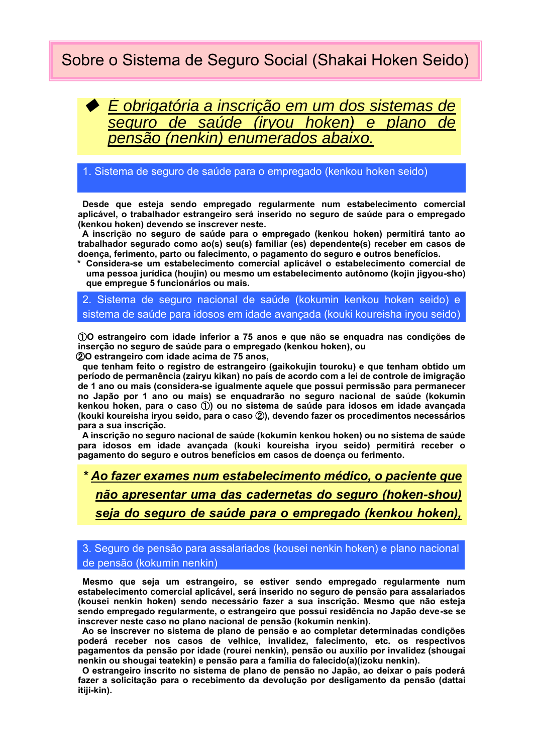# Sobre o Sistema de Seguro Social (Shakai Hoken Seido)

◆ *É obrigatória a inscrição em um dos sistemas de seguro de saúde (iryou hoken) e plano de pensão (nenkin) enumerados abaixo.*

### 1. Sistema de seguro de saúde para o empregado (kenkou hoken seido)

**Desde que esteja sendo empregado regularmente num estabelecimento comercial aplicável, o trabalhador estrangeiro será inserido no seguro de saúde para o empregado (kenkou hoken) devendo se inscrever neste.** 

**A inscrição no seguro de saúde para o empregado (kenkou hoken) permitirá tanto ao trabalhador segurado como ao(s) seu(s) familiar (es) dependente(s) receber em casos de doença, ferimento, parto ou falecimento, o pagamento do seguro e outros benefícios.** 

**\* Considera-se um estabelecimento comercial aplicável o estabelecimento comercial de uma pessoa jurídica (houjin) ou mesmo um estabelecimento autônomo (kojin jigyou-sho) que empregue 5 funcionários ou mais.** 

### 2. Sistema de seguro nacional de saúde (kokumin kenkou hoken seido) e sistema de saúde para idosos em idade avançada (kouki koureisha iryou seido)

①**O estrangeiro com idade inferior a 75 anos e que não se enquadra nas condições de inserção no seguro de saúde para o empregado (kenkou hoken), ou** 

②**O estrangeiro com idade acima de 75 anos,** 

**que tenham feito o registro de estrangeiro (gaikokujin touroku) e que tenham obtido um período de permanência (zairyu kikan) no país de acordo com a lei de controle de imigração de 1 ano ou mais (considera-se igualmente aquele que possui permissão para permanecer no Japão por 1 ano ou mais) se enquadrarão no seguro nacional de saúde (kokumin kenkou hoken, para o caso** ①**) ou no sistema de saúde para idosos em idade avançada (kouki koureisha iryou seido, para o caso** ②**), devendo fazer os procedimentos necessários para a sua inscrição.** 

**A inscrição no seguro nacional de saúde (kokumin kenkou hoken) ou no sistema de saúde para idosos em idade avançada (kouki koureisha iryou seido) permitirá receber o pagamento do seguro e outros benefícios em casos de doença ou ferimento.** 

# *\* Ao fazer exames num estabelecimento médico, o paciente que não apresentar uma das cadernetas do seguro (hoken-shou) seja do seguro de saúde para o empregado (kenkou hoken),*

3. Seguro de pensão para assalariados (kousei nenkin hoken) e plano nacional *(kouki koureisha iryou seido) deverá arcar por sua conta com*  de pensão (kokumin nenkin)

**Mesmo que seja um estrangeiro, se estiver sendo empregado regularmente num estabelecimento comercial aplicável, será inserido no seguro de pensão para assalariados**  *a totalidade da despesa médica.* **(kousei nenkin hoken) sendo necessário fazer a sua inscrição. Mesmo que não esteja sendo empregado regularmente, o estrangeiro que possui residência no Japão deve-se se inscrever neste caso no plano nacional de pensão (kokumin nenkin).** 

**Ao se inscrever no sistema de plano de pensão e ao completar determinadas condições poderá receber nos casos de velhice, invalidez, falecimento, etc. os respectivos pagamentos da pensão por idade (rourei nenkin), pensão ou auxílio por invalidez (shougai nenkin ou shougai teatekin) e pensão para a família do falecido(a)(izoku nenkin).** 

**O estrangeiro inscrito no sistema de plano de pensão no Japão, ao deixar o país poderá fazer a solicitação para o recebimento da devolução por desligamento da pensão (dattai itiji-kin).**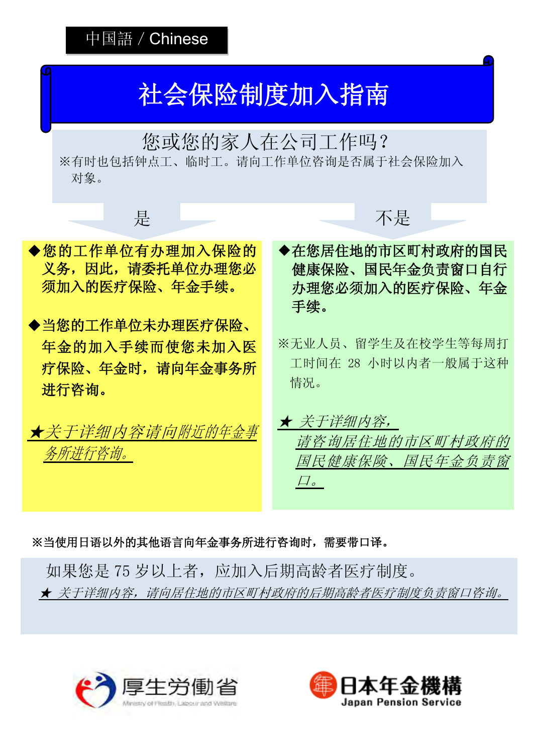

※当使用日语以外的其他语言向年金事务所进行咨询时,需要带口译。

如果您是 75 岁以上者, 应加入后期高龄者医疗制度。 ★ 关于详细内容,请向居住地的市区町村政府的后期高龄者医疗制度负责窗口咨询。



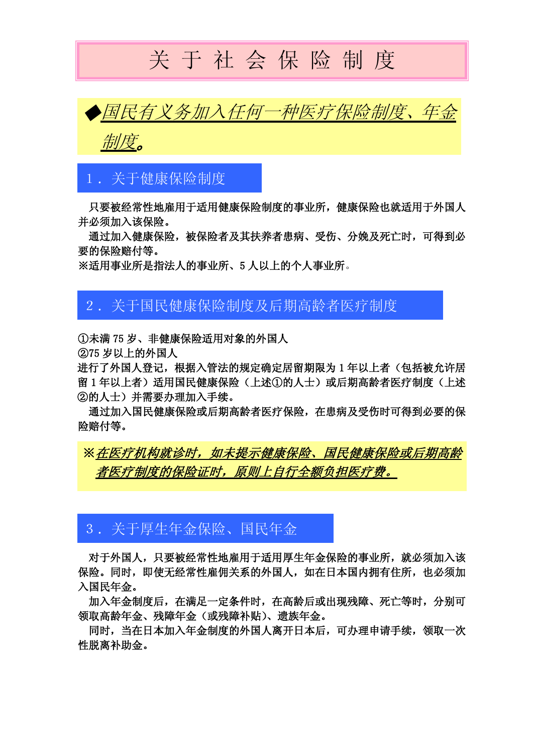# 关 于 社 会 保 险 制 度



# 1.关于健康保险制度

只要被经常性地雇用于适用健康保险制度的事业所,健康保险也就适用于外国人 并必须加入该保险。

通过加入健康保险,被保险者及其扶养者患病、受伤、分娩及死亡时,可得到必 要的保险赔付等。

※适用事业所是指法人的事业所、5 人以上的个人事业所。

## 2.关于国民健康保险制度及后期高龄者医疗制度

①未满 75 岁、非健康保险适用对象的外国人

②75 岁以上的外国人

Ξ

进行了外国人登记,根据入管法的规定确定居留期限为 1 年以上者(包括被允许居 留 1 年以上者)适用国民健康保险(上述①的人士)或后期高龄者医疗制度(上述 ②的人士)并需要办理加入手续。

通过加入国民健康保险或后期高龄者医疗保险,在患病及受伤时可得到必要的保 险赔付等。

※在医疗机构就诊时,如未提示健康保险、国民健康保险或后期高龄 **者医疗制度的保险证时,原则上自行全额负担医疗费。** 

# 3.关于厚生年金保险、国民年金

对于外国人,只要被经常性地雇用于适用厚生年金保险的事业所,就必须加入该 保险。同时,即使无经常性雇佣关系的外国人,如在日本国内拥有住所,也必须加 入国民年金。

加入年金制度后,在满足一定条件时,在高龄后或出现残障、死亡等时,分别可 领取高龄年金、残障年金(或残障补贴)、遗族年金。

同时,当在日本加入年金制度的外国人离开日本后,可办理申请手续,领取一次 性脱离补助金。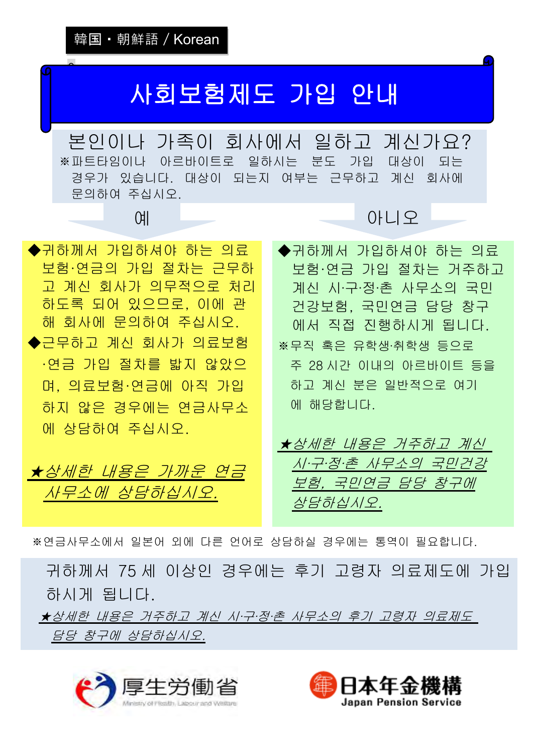$\bullet$ 

# 사회보험제도 가입 안내

본인이나 가족이 회사에서 일하고 계신가요? ※파트타임이나 아르바이트로 일하시는 분도 가입 대상이 되는 경우가 있습니다. 대상이 되는지 여부는 근무하고 계신 회사에 문의하여 주십시오.



★상세한 내용은 가까운 연금 사무소에 상담하십시오.

# 예 아니오

◆귀하께서 가입하셔야 하는 의료 보험·연금 가입 절차는 거주하고 계신 시·구·정·촌 사무소의 국민 건강보험, 국민연금 담당 창구 에서 직접 진행하시게 됩니다. ※무직 혹은 유학생·취학생 등으로 주 28 시간 이내의 아르바이트 등을 하고 계신 분은 일반적으로 여기 에 해당합니다.

★상세한 내용은 거주하고 계신 시·구·정·촌 사무소의 국민건강 보험, 국민연금 담당 창구에 상담하십시오.

※연금사무소에서 일본어 외에 다른 언어로 상담하실 경우에는 통역이 필요합니다.

귀하께서 75 세 이상인 경우에는 후기 고령자 의료제도에 가입 하시게 됩니다.

★상세한 내용은 거주하고 계신 시·구·정·촌 사무소의 후기 고령자 의료제도 담당 창구에 상담하십시오.



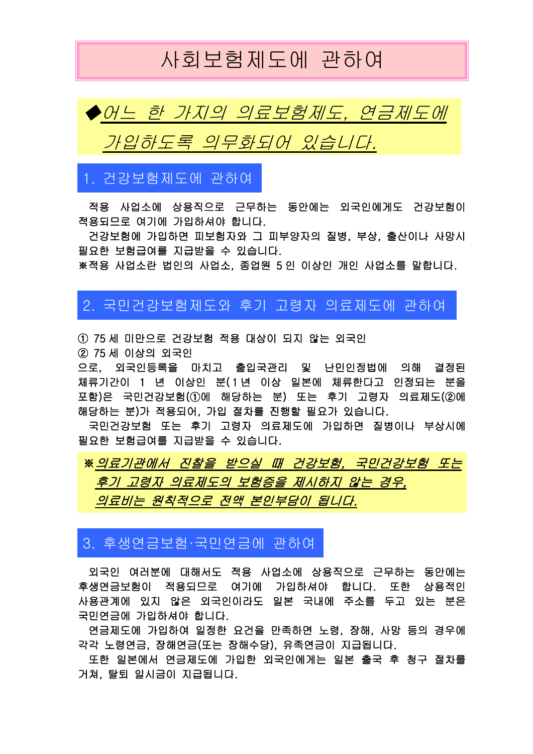# 사회보험제도에 관하여



## 1. 건강보험제도에 관하여

Ξ

적용 사업소에 상용직으로 근무하는 동안에는 외국인에게도 건강보험이 적용되므로 여기에 가입하셔야 합니다.

건강보험에 가입하면 피보험자와 그 피부양자의 질병, 부상, 출산이나 사망시 필요한 보험급여를 지급받을 수 있습니다.

※적용 사업소란 법인의 사업소, 종업원 5 인 이상인 개인 사업소를 말합니다.

## 2. 국민건강보험제도와 후기 고령자 의료제도에 관하여

① 75 세 미만으로 건강보험 적용 대상이 되지 않는 외국인 ② 75 세 이상의 외국인

으로, 외국인등록을 마치고 출입국관리 및 난민인정법에 의해 결정된 체류기간이 1 년 이상인 분(1년 이상 일본에 체류한다고 인정되는 분을 포함)은 국민건강보험(①에 해당하는 분) 또는 후기 고령자 의료제도(②에 해당하는 분)가 적용되어, 가입 절차를 진행할 필요가 있습니다.

국민건강보험 또는 후기 고령자 의료제도에 가입하면 질병이나 부상시에 필요한 보험급여를 지급받을 수 있습니다.

※의료기관에서 진찰을 받으실 때 건강보험, 국민건강보험 또는 후기 고령자 의료제도의 보험증을 제시하지 않는 경우, 의료비는 원칙적으로 전액 본인부담이 됩니다.

## 3. 후생연금보험·국민연금에 관하여

외국인 여러분에 대해서도 적용 사업소에 상용직으로 근무하는 동안에는 후생연금보험이 적용되므로 여기에 가입하셔야 합니다. 또한 상용적인 사용관계에 있지 않은 외국인이라도 일본 국내에 주소를 두고 있는 분은 국민연금에 가입하셔야 합니다.

연금제도에 가입하여 일정한 요건을 만족하면 노령, 장해, 사망 등의 경우에 각각 노령연금, 장해연금(또는 장해수당), 유족연금이 지급됩니다.

또한 일본에서 연금제도에 가입한 외국인에게는 일본 출국 후 청구 절차를 거쳐, 탈퇴 일시금이 지급됩니다.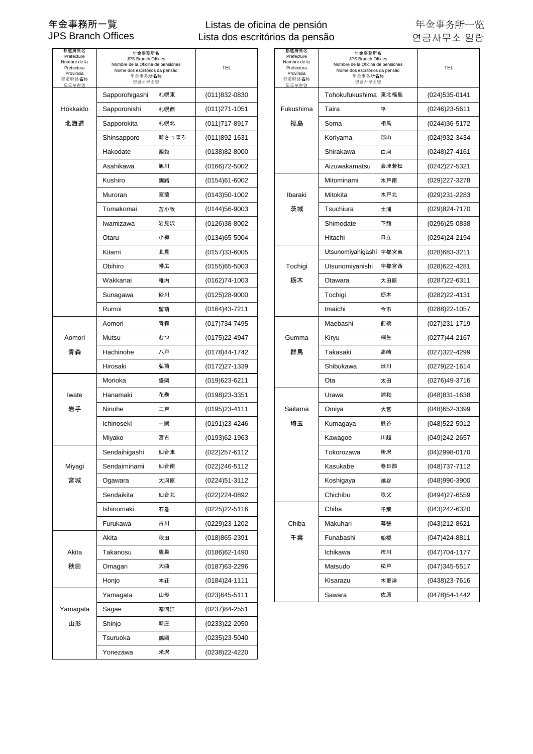### Listas de oficina de pensión Lista dos escritórios da pensão

| 都道府県名<br>Prefecture<br>Nombre de la<br>Prefectura<br>Província<br>都道府县名称<br>도도부현명 | 年金事務所名<br>JPS Branch Offices<br>Nombre de la Oficina de pensiones<br>Nome dos escritórios da pensão<br>年金事务所名称<br>연금사무소명 |       | TEL               | 都道府県名<br>Prefecture<br>Nombre de la<br>Prefectura<br>Província<br>都道府县名称<br>도도부현명 | 年金事務所名<br>JPS Branch Offices<br>Nombre de la Oficina de pensiones<br>Nome dos escritórios da pensão<br>年金事务所名称<br>연금사무소명 |      | <b>TEL</b>        |
|-----------------------------------------------------------------------------------|--------------------------------------------------------------------------------------------------------------------------|-------|-------------------|-----------------------------------------------------------------------------------|--------------------------------------------------------------------------------------------------------------------------|------|-------------------|
|                                                                                   | Sapporohigashi                                                                                                           | 札幌東   | $(011)832 - 0830$ |                                                                                   | Tohokufukushima 東北福島                                                                                                     |      | (024)535-0141     |
| Hokkaido                                                                          | Sapporonishi                                                                                                             | 札幌西   | $(011)271-1051$   | Fukushima                                                                         | Taira                                                                                                                    | 平    | (0246)23-5611     |
| 北海道                                                                               | Sapporokita                                                                                                              | 札幌北   | $(011)717 - 8917$ | 福島                                                                                | Soma                                                                                                                     | 相馬   | (0244)36-5172     |
|                                                                                   | Shinsapporo                                                                                                              | 新さっぽろ | $(011)892 - 1631$ |                                                                                   | Koriyama                                                                                                                 | 郡山   | (024)932-3434     |
|                                                                                   | Hakodate                                                                                                                 | 函館    | (0138)82-8000     |                                                                                   | Shirakawa                                                                                                                | 白河   | (0248)27-4161     |
|                                                                                   | Asahikawa                                                                                                                | 旭川    | $(0166)72 - 5002$ |                                                                                   | Aizuwakamatsu                                                                                                            | 会津若松 | (0242)27-5321     |
|                                                                                   | Kushiro                                                                                                                  | 釧路    | $(0154)61 - 6002$ |                                                                                   | Mitominami                                                                                                               | 水戸南  | (029)227-3278     |
|                                                                                   | Muroran                                                                                                                  | 室蘭    | $(0143)50-1002$   | Ibaraki                                                                           | Mitokita                                                                                                                 | 水戸北  | (029)231-2283     |
|                                                                                   | Tomakomai                                                                                                                | 苫小牧   | $(0144)56 - 9003$ | 茨城                                                                                | Tsuchiura                                                                                                                | 土浦   | (029)824-7170     |
|                                                                                   | Iwamizawa                                                                                                                | 岩見沢   | $(0126)38 - 8002$ |                                                                                   | Shimodate                                                                                                                | 下館   | (0296)25-0838     |
|                                                                                   | Otaru                                                                                                                    | 小樽    | $(0134)65 - 5004$ |                                                                                   | Hitachi                                                                                                                  | 日立   | (0294)24-2194     |
|                                                                                   | Kitami                                                                                                                   | 北見    | $(0157)33 - 6005$ |                                                                                   | Utsunomiyahigashi 宇都宮東                                                                                                   |      | (028)683-3211     |
|                                                                                   | Obihiro                                                                                                                  | 帯広    | $(0155)65 - 5003$ | Tochigi                                                                           | Utsunomiyanishi                                                                                                          | 宇都宮西 | (028)622-4281     |
|                                                                                   | Wakkanai                                                                                                                 | 稚内    | $(0162)74-1003$   | 栃木                                                                                | Otawara                                                                                                                  | 大田原  | (0287)22-6311     |
|                                                                                   | Sunagawa                                                                                                                 | 砂川    | $(0125)28 - 9000$ |                                                                                   | Tochigi                                                                                                                  | 栃木   | (0282)22-4131     |
|                                                                                   | Rumoi                                                                                                                    | 留萌    | $(0164)43 - 7211$ |                                                                                   | Imaichi                                                                                                                  | 今市   | (0288) 22-1057    |
|                                                                                   | Aomori                                                                                                                   | 青森    | (017) 734-7495    |                                                                                   | Maebashi                                                                                                                 | 前橋   | (027)231-1719     |
| Aomori                                                                            | Mutsu                                                                                                                    | むつ    | $(0175)22 - 4947$ | Gumma                                                                             | Kiryu                                                                                                                    | 桐生   | (0277)44-2167     |
| 青森                                                                                | Hachinohe                                                                                                                | 八戸    | (0178)44-1742     | 群馬                                                                                | Takasaki                                                                                                                 | 高崎   | (027)322-4299     |
|                                                                                   | Hirosaki                                                                                                                 | 弘前    | $(0172)27 - 1339$ |                                                                                   | Shibukawa                                                                                                                | 渋川   | (0279)22-1614     |
|                                                                                   | Morioka                                                                                                                  | 盛岡    | $(019)623 - 6211$ |                                                                                   | Ota                                                                                                                      | 太田   | (0276)49-3716     |
| Iwate                                                                             | Hanamaki                                                                                                                 | 花巻    | (0198)23-3351     |                                                                                   | Urawa                                                                                                                    | 浦和   | (048)831-1638     |
| 岩手                                                                                | Ninohe                                                                                                                   | 二戸    | (0195)23-4111     | Saitama                                                                           | Omiya                                                                                                                    | 大宮   | (048)652-3399     |
|                                                                                   | Ichinoseki                                                                                                               | 一関    | (0191)23-4246     | 埼玉                                                                                | Kumagaya                                                                                                                 | 熊谷   | (048)522-5012     |
|                                                                                   | Miyako                                                                                                                   | 宮古    | $(0193)62 - 1963$ |                                                                                   | Kawagoe                                                                                                                  | 川越   | (049)242-2657     |
|                                                                                   | Sendaihigashi                                                                                                            | 仙台東   | (022)257-6112     |                                                                                   | Tokorozawa                                                                                                               | 所沢   | (04)2998-0170     |
| Miyagi                                                                            | Sendaiminami                                                                                                             | 仙台南   | (022)246-5112     |                                                                                   | Kasukabe                                                                                                                 | 春日部  | (048) 737-7112    |
| 宮城                                                                                | Ogawara                                                                                                                  | 大河原   | (0224)51-3112     |                                                                                   | Koshigaya                                                                                                                | 越谷   | (048)990-3900     |
|                                                                                   | Sendaikita                                                                                                               | 仙台北   | (022)224-0892     |                                                                                   | Chichibu                                                                                                                 | 秩父   | (0494)27-6559     |
|                                                                                   | Ishinomaki                                                                                                               | 石巻    | (0225)22-5116     |                                                                                   | Chiba                                                                                                                    | 千葉   | (043)242-6320     |
|                                                                                   | Furukawa                                                                                                                 | 古川    | (0229)23-1202     | Chiba                                                                             | Makuhari                                                                                                                 | 幕張   | (043)212-8621     |
|                                                                                   | Akita                                                                                                                    | 秋田    | $(018)865 - 2391$ | 千葉                                                                                | Funabashi                                                                                                                | 船橋   | (047)424-8811     |
| Akita                                                                             | Takanosu                                                                                                                 | 鷹巣    | $(0186)62 - 1490$ |                                                                                   | Ichikawa                                                                                                                 | 市川   | $(047)704 - 1177$ |
| 秋田                                                                                | Omagari                                                                                                                  | 大曲    | (0187) 63-2296    |                                                                                   | Matsudo                                                                                                                  | 松戸   | $(047)345 - 5517$ |
|                                                                                   | Honjo                                                                                                                    | 本荘    | $(0184)24 - 1111$ |                                                                                   | Kisarazu                                                                                                                 | 木更津  | (0438)23-7616     |
|                                                                                   | Yamagata                                                                                                                 | 山形    | $(023)645 - 5111$ |                                                                                   | Sawara                                                                                                                   | 佐原   | (0478)54-1442     |
| Yamagata                                                                          | Sagae                                                                                                                    | 寒河江   | (0237)84-2551     |                                                                                   |                                                                                                                          |      |                   |
| 山形                                                                                | Shinjo                                                                                                                   | 新庄    | (0233)22-2050     |                                                                                   |                                                                                                                          |      |                   |
|                                                                                   | Tsuruoka                                                                                                                 | 鶴岡    | (0235)23-5040     |                                                                                   |                                                                                                                          |      |                   |
|                                                                                   | Yonezawa                                                                                                                 | 米沢    | (0238)22-4220     |                                                                                   |                                                                                                                          |      |                   |

| 道府県名<br>refecture<br>mbre de la<br>refectura<br>Província<br>首府县名称<br>도부현명 | 年金事務所名<br>JPS Branch Offices<br>Nombre de la Oficina de pensiones<br>Nome dos escritórios da pensão<br>年金事务所名称<br>연금사무소명 |       | TEL               | 都道府県名<br>Prefecture<br>Nombre de la<br>Prefectura<br>Província<br>都道府县名称<br>도도부현명 | 年金事務所名<br><b>JPS Branch Offices</b><br>Nombre de la Oficina de pensiones<br>Nome dos escritórios da pensão<br>年金事务所名称<br>연금사무소명 |      | TEL               |
|----------------------------------------------------------------------------|--------------------------------------------------------------------------------------------------------------------------|-------|-------------------|-----------------------------------------------------------------------------------|---------------------------------------------------------------------------------------------------------------------------------|------|-------------------|
|                                                                            | Sapporohigashi                                                                                                           | 札幌東   | $(011)832 - 0830$ |                                                                                   | Tohokufukushima 東北福島                                                                                                            |      | (024)535-0141     |
| ɔkkaido                                                                    | Sapporonishi                                                                                                             | 札幌西   | $(011)271 - 1051$ | Fukushima                                                                         | Taira                                                                                                                           | 平    | $(0246)23 - 5611$ |
| 化海道                                                                        | Sapporokita                                                                                                              | 札幌北   | $(011)717 - 8917$ | 福島                                                                                | Soma                                                                                                                            | 相馬   | (0244)36-5172     |
|                                                                            | Shinsapporo                                                                                                              | 新さっぽろ | $(011)892 - 1631$ |                                                                                   | Koriyama                                                                                                                        | 郡山   | (024)932-3434     |
|                                                                            | Hakodate                                                                                                                 | 函館    | $(0138)82 - 8000$ |                                                                                   | Shirakawa                                                                                                                       | 白河   | $(0248)27 - 4161$ |
|                                                                            | Asahikawa                                                                                                                | 旭川    | $(0166)72 - 5002$ |                                                                                   | Aizuwakamatsu                                                                                                                   | 会津若松 | (0242)27-5321     |
|                                                                            | Kushiro                                                                                                                  | 釧路    | $(0154)61 - 6002$ |                                                                                   | Mitominami                                                                                                                      | 水戸南  | (029)227-3278     |
|                                                                            | Muroran                                                                                                                  | 室蘭    | $(0143)50-1002$   | Ibaraki                                                                           | Mitokita                                                                                                                        | 水戸北  | (029)231-2283     |
|                                                                            | Tomakomai                                                                                                                | 苫小牧   | $(0144)56 - 9003$ | 茨城                                                                                | Tsuchiura                                                                                                                       | 土浦   | (029)824-7170     |
|                                                                            | Iwamizawa                                                                                                                | 岩見沢   | $(0126)38 - 8002$ |                                                                                   | Shimodate                                                                                                                       | 下館   | (0296)25-0838     |
|                                                                            | Otaru                                                                                                                    | 小樽    | $(0134)65 - 5004$ |                                                                                   | Hitachi                                                                                                                         | 日立   | (0294)24-2194     |
|                                                                            | Kitami                                                                                                                   | 北見    | $(0157)33 - 6005$ |                                                                                   | Utsunomiyahigashi 宇都宮東                                                                                                          |      | (028)683-3211     |
|                                                                            | Obihiro                                                                                                                  | 帯広    | $(0155)65 - 5003$ | Tochigi                                                                           | Utsunomiyanishi                                                                                                                 | 宇都宮西 | (028)622-4281     |
|                                                                            | Wakkanai                                                                                                                 | 稚内    | $(0162)74-1003$   | 栃木                                                                                | Otawara                                                                                                                         | 大田原  | (0287) 22-6311    |
|                                                                            | Sunagawa                                                                                                                 | 砂川    | $(0125)28-9000$   |                                                                                   | Tochigi                                                                                                                         | 栃木   | (0282)22-4131     |
|                                                                            | Rumoi                                                                                                                    | 留萌    | $(0164)43 - 7211$ |                                                                                   | Imaichi                                                                                                                         | 今市   | $(0288)22 - 1057$ |
|                                                                            | Aomori                                                                                                                   | 青森    | (017) 734-7495    |                                                                                   | Maebashi                                                                                                                        | 前橋   | (027)231-1719     |
| omori)                                                                     | Mutsu                                                                                                                    | むつ    | $(0175)22 - 4947$ | Gumma                                                                             | Kiryu                                                                                                                           | 桐生   | (0277)44-2167     |
| 青森                                                                         | Hachinohe                                                                                                                | 八戸    | (0178)44-1742     | 群馬                                                                                | Takasaki                                                                                                                        | 高崎   | (027) 322-4299    |
|                                                                            | Hirosaki                                                                                                                 | 弘前    | $(0172)27 - 1339$ |                                                                                   | Shibukawa                                                                                                                       | 渋川   | (0279)22-1614     |
|                                                                            | Morioka                                                                                                                  | 盛岡    | (019) 623-6211    |                                                                                   | Ota                                                                                                                             | 太田   | (0276)49-3716     |
| Iwate                                                                      | Hanamaki                                                                                                                 | 花巻    | (0198)23-3351     |                                                                                   | Urawa                                                                                                                           | 浦和   | (048)831-1638     |
| 岩手                                                                         | Ninohe                                                                                                                   | 二戸    | (0195)23-4111     | Saitama                                                                           | Omiya                                                                                                                           | 大宮   | (048) 652-3399    |
|                                                                            | Ichinoseki                                                                                                               | 一関    | (0191)23-4246     | 埼玉                                                                                | Kumagaya                                                                                                                        | 熊谷   | (048)522-5012     |
|                                                                            | Miyako                                                                                                                   | 宮古    | $(0193)62 - 1963$ |                                                                                   | Kawagoe                                                                                                                         | 川越   | (049)242-2657     |
|                                                                            | Sendaihigashi                                                                                                            | 仙台東   | (022) 257-6112    |                                                                                   | Tokorozawa                                                                                                                      | 所沢   | (04)2998-0170     |
| Miyagi                                                                     | Sendaiminami                                                                                                             | 仙台南   | (022)246-5112     |                                                                                   | Kasukabe                                                                                                                        | 春日部  | (048) 737-7112    |
| 宮城                                                                         | Ogawara                                                                                                                  | 大河原   | (0224)51-3112     |                                                                                   | Koshigaya                                                                                                                       | 越谷   | $(048)990-3900$   |
|                                                                            | Sendaikita                                                                                                               | 仙台北   | (022)224-0892     |                                                                                   | Chichibu                                                                                                                        | 秩父   | (0494)27-6559     |
|                                                                            | Ishinomaki                                                                                                               | 石巻    | (0225)22-5116     |                                                                                   | Chiba                                                                                                                           | 千葉   | (043)242-6320     |
|                                                                            | Furukawa                                                                                                                 | 古川    | (0229)23-1202     | Chiba                                                                             | Makuhari                                                                                                                        | 幕張   | (043)212-8621     |
|                                                                            | Akita                                                                                                                    | 秋田    | (018)865-2391     | 千葉                                                                                | Funabashi                                                                                                                       | 船橋   | (047)424-8811     |
| Akita                                                                      | Takanosu                                                                                                                 | 鷹巣    | $(0186)62 - 1490$ |                                                                                   | Ichikawa                                                                                                                        | 市川   | $(047)704 - 1177$ |
| 秋田                                                                         | Omagari                                                                                                                  | 大曲    | (0187) 63-2296    |                                                                                   | Matsudo                                                                                                                         | 松戸   | $(047)345 - 5517$ |
|                                                                            | Honjo                                                                                                                    | 本荘    | $(0184)24 - 1111$ |                                                                                   | Kisarazu                                                                                                                        | 木更津  | (0438)23-7616     |
|                                                                            | Yamagata                                                                                                                 | 山形    | $(023)645 - 5111$ |                                                                                   | Sawara                                                                                                                          | 佐原   | (0478)54-1442     |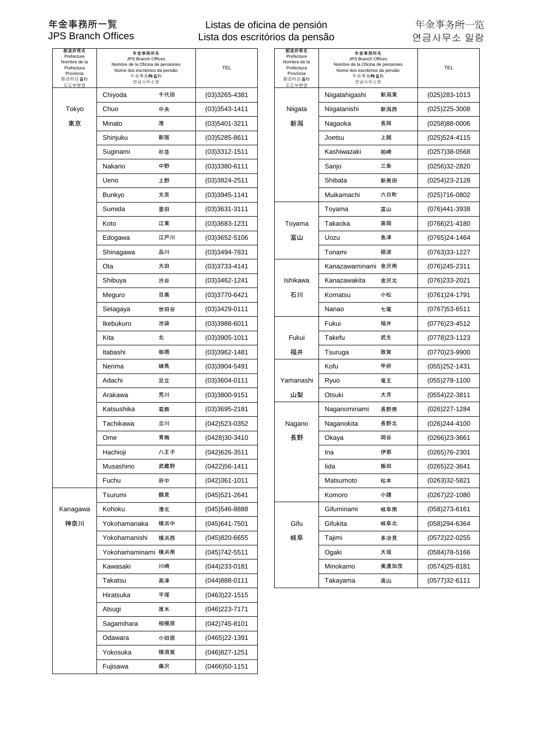### Listas de oficina de pensión Lista dos escritórios da pensão

| 千代田<br>$(03)3265 - 4381$<br>新潟東<br>(025) 283-1013<br>Chiyoda<br>Niigatahigashi<br>Tokyo<br>Chuo<br>中央<br>$(03)3543-1411$<br>新潟西<br>Niigata<br>Niigatanishi<br>(025)225-3008<br>東京<br>新潟<br>港<br>Minato<br>$(03)5401 - 3211$<br>Nagaoka<br>長岡<br>(0258)88-0006<br>新宿<br>上越<br>Shinjuku<br>$(03)5285 - 8611$<br>Joetsu<br>(025)524-4115<br>$(03)3312 - 1511$<br>Kashiwazaki<br>Suginami<br>杉並<br>柏崎<br>(0257)38-0568<br>Nakano<br>中野<br>三条<br>$(03)3380 - 6111$<br>Sanjo<br>(0256)32-2820<br>上野<br>$(03)3824 - 2511$<br>Shibata<br>新発田<br>Ueno<br>(0254)23-2128<br>$(03)3945 - 1141$<br>Muikamachi<br>六日町<br>(025)716-0802<br>Bunkyo<br>文京<br>Sumida<br>墨田<br>$(03)3631 - 3111$<br>Toyama<br>富山<br>(076)441-3938<br>Koto<br>(03)3683-1231<br>Takaoka<br>江東<br>Toyama<br>高岡<br>(0766)21-4180<br>富山<br>Uozu<br>(0765)24-1464<br>Edogawa<br>江戸川<br>$(03)3652 - 5106$<br>魚津<br>品川<br>(03)3494-7831<br>Tonami<br>砺波<br>(0763)33-1227<br>Shinagawa<br>Ota<br>大田<br>$(03)3733 - 4141$<br>Kanazawaminami 金沢南<br>(076)245-2311<br>金沢北<br>渋谷<br>Ishikawa<br>Shibuya<br>$(03)3462 - 1241$<br>Kanazawakita<br>(076)233-2021<br>目黒<br>(03)3770-6421<br>石川<br>Komatsu<br>小松<br>(0761)24-1791<br>Meguro<br>Setagaya<br>世田谷<br>$(03)3429 - 0111$<br>Nanao<br>七尾<br>(0767)53-6511<br>Ikebukuro<br>池袋<br>$(03)3988 - 6011$<br>Fukui<br>福井<br>(0776)23-4512<br>Kita<br>北<br>Fukui<br>Takefu<br>$(03)3905 - 1011$<br>武生<br>(0778)23-1123<br>福井<br>Itabashi<br>板橋<br>$(03)3962 - 1481$<br>Tsuruga<br>敦賀<br>(0770)23-9900<br>練馬<br>$(03)3904 - 5491$<br>Kofu<br>甲府<br>Nerima<br>(055)252-1431<br>Yamanashi<br>Adachi<br>足立<br>$(03)3604 - 0111$<br>Ryuo<br>竜王<br>$(055)278 - 1100$<br>荒川<br>山梨<br>大月<br>Arakawa<br>(03)3800-9151<br>Otsuki<br>(0554)22-3811<br>Katsushika<br>葛飾<br>長野南<br>$(03)3695 - 2181$<br>Naganominami<br>(026)227-1284<br>Tachikawa<br>立川<br>長野北<br>(026)244-4100<br>(042)523-0352<br>Nagano<br>Naganokita<br>長野<br>(0428)30-3410<br>Ome<br>青梅<br>Okaya<br>岡谷<br>(0266)23-3661<br>Hachioji<br>八王子<br>(042) 626-3511<br>Ina<br>伊那<br>(0265)76-2301<br>Musashino<br>武蔵野<br>(0422)56-1411<br>飯田<br>(0265)22-3641<br>lida<br>Fuchu<br>府中<br>$(042)361-1011$<br>Matsumoto<br>松本<br>(0263)32-5821<br>Tsurumi<br>Komoro<br>小諸<br>(0267)22-1080<br>鶴見<br>(045)521-2641<br>Kanagawa<br>Kohoku<br>港北<br>(058) 273-6161<br>(045)546-8888<br>Gifuminami<br>岐阜南<br>神奈川<br>Gifu<br>Yokohamanaka<br>横浜中<br>$(045)641 - 7501$<br>Gifukita<br>岐阜北<br>(058)294-6364<br>岐阜<br>Yokohamanishi<br>横浜西<br>多治見<br>(0572)22-0255<br>(045)820-6655<br>Tajimi<br>大垣<br>(0584)78-5166<br>Yokohamaminami 横浜南<br>(045)742-5511<br>Ogaki<br>Kawasaki<br>川崎<br>$(044)233 - 0181$<br>Minokamo<br>美濃加茂<br>(0574)25-8181<br>Takatsu<br>高山<br>(0577)32-6111<br>高津<br>$(044)888 - 0111$<br>Takayama<br>平塚<br>Hiratsuka<br>(0463)22-1515<br>厚木<br>(046) 223-7171<br>Atsugi<br>相模原<br>Sagamihara<br>$(042)745-8101$<br>小田原<br>Odawara<br>(0465)22-1391<br>Yokosuka<br>横須賀<br>$(046)827 - 1251$<br>Fujisawa<br>藤沢<br>$(0466)50-1151$ | 都道府県名<br>Prefecture<br>Nombre de la<br>Prefectura<br>Província<br>都道府县名称<br>도도부현명 | 年金事務所名<br>JPS Branch Offices<br>Nombre de la Oficina de pensiones<br>Nome dos escritórios da pensão<br>年金事务所名称<br>연금사무소명 | TEL | 都道府県名<br>Prefecture<br>Nombre de la<br>Prefectura<br>Província<br>都道府县名称<br>도도부현명 | 年金事務所名<br>JPS Branch Offices<br>Nombre de la Oficina de pensiones<br>Nome dos escritórios da pensão<br>年金事务所名称<br>연금사무소명 | <b>TEL</b> |
|--------------------------------------------------------------------------------------------------------------------------------------------------------------------------------------------------------------------------------------------------------------------------------------------------------------------------------------------------------------------------------------------------------------------------------------------------------------------------------------------------------------------------------------------------------------------------------------------------------------------------------------------------------------------------------------------------------------------------------------------------------------------------------------------------------------------------------------------------------------------------------------------------------------------------------------------------------------------------------------------------------------------------------------------------------------------------------------------------------------------------------------------------------------------------------------------------------------------------------------------------------------------------------------------------------------------------------------------------------------------------------------------------------------------------------------------------------------------------------------------------------------------------------------------------------------------------------------------------------------------------------------------------------------------------------------------------------------------------------------------------------------------------------------------------------------------------------------------------------------------------------------------------------------------------------------------------------------------------------------------------------------------------------------------------------------------------------------------------------------------------------------------------------------------------------------------------------------------------------------------------------------------------------------------------------------------------------------------------------------------------------------------------------------------------------------------------------------------------------------------------------------------------------------------------------------------------------------------------------------------------------------------------------------------------------------------------------------------------------------------------------------------------------------------------------------------------------------------------------------------------------------------------------------------------------------------------------------------------------------------|-----------------------------------------------------------------------------------|--------------------------------------------------------------------------------------------------------------------------|-----|-----------------------------------------------------------------------------------|--------------------------------------------------------------------------------------------------------------------------|------------|
|                                                                                                                                                                                                                                                                                                                                                                                                                                                                                                                                                                                                                                                                                                                                                                                                                                                                                                                                                                                                                                                                                                                                                                                                                                                                                                                                                                                                                                                                                                                                                                                                                                                                                                                                                                                                                                                                                                                                                                                                                                                                                                                                                                                                                                                                                                                                                                                                                                                                                                                                                                                                                                                                                                                                                                                                                                                                                                                                                                                            |                                                                                   |                                                                                                                          |     |                                                                                   |                                                                                                                          |            |
|                                                                                                                                                                                                                                                                                                                                                                                                                                                                                                                                                                                                                                                                                                                                                                                                                                                                                                                                                                                                                                                                                                                                                                                                                                                                                                                                                                                                                                                                                                                                                                                                                                                                                                                                                                                                                                                                                                                                                                                                                                                                                                                                                                                                                                                                                                                                                                                                                                                                                                                                                                                                                                                                                                                                                                                                                                                                                                                                                                                            |                                                                                   |                                                                                                                          |     |                                                                                   |                                                                                                                          |            |
|                                                                                                                                                                                                                                                                                                                                                                                                                                                                                                                                                                                                                                                                                                                                                                                                                                                                                                                                                                                                                                                                                                                                                                                                                                                                                                                                                                                                                                                                                                                                                                                                                                                                                                                                                                                                                                                                                                                                                                                                                                                                                                                                                                                                                                                                                                                                                                                                                                                                                                                                                                                                                                                                                                                                                                                                                                                                                                                                                                                            |                                                                                   |                                                                                                                          |     |                                                                                   |                                                                                                                          |            |
|                                                                                                                                                                                                                                                                                                                                                                                                                                                                                                                                                                                                                                                                                                                                                                                                                                                                                                                                                                                                                                                                                                                                                                                                                                                                                                                                                                                                                                                                                                                                                                                                                                                                                                                                                                                                                                                                                                                                                                                                                                                                                                                                                                                                                                                                                                                                                                                                                                                                                                                                                                                                                                                                                                                                                                                                                                                                                                                                                                                            |                                                                                   |                                                                                                                          |     |                                                                                   |                                                                                                                          |            |
|                                                                                                                                                                                                                                                                                                                                                                                                                                                                                                                                                                                                                                                                                                                                                                                                                                                                                                                                                                                                                                                                                                                                                                                                                                                                                                                                                                                                                                                                                                                                                                                                                                                                                                                                                                                                                                                                                                                                                                                                                                                                                                                                                                                                                                                                                                                                                                                                                                                                                                                                                                                                                                                                                                                                                                                                                                                                                                                                                                                            |                                                                                   |                                                                                                                          |     |                                                                                   |                                                                                                                          |            |
|                                                                                                                                                                                                                                                                                                                                                                                                                                                                                                                                                                                                                                                                                                                                                                                                                                                                                                                                                                                                                                                                                                                                                                                                                                                                                                                                                                                                                                                                                                                                                                                                                                                                                                                                                                                                                                                                                                                                                                                                                                                                                                                                                                                                                                                                                                                                                                                                                                                                                                                                                                                                                                                                                                                                                                                                                                                                                                                                                                                            |                                                                                   |                                                                                                                          |     |                                                                                   |                                                                                                                          |            |
|                                                                                                                                                                                                                                                                                                                                                                                                                                                                                                                                                                                                                                                                                                                                                                                                                                                                                                                                                                                                                                                                                                                                                                                                                                                                                                                                                                                                                                                                                                                                                                                                                                                                                                                                                                                                                                                                                                                                                                                                                                                                                                                                                                                                                                                                                                                                                                                                                                                                                                                                                                                                                                                                                                                                                                                                                                                                                                                                                                                            |                                                                                   |                                                                                                                          |     |                                                                                   |                                                                                                                          |            |
|                                                                                                                                                                                                                                                                                                                                                                                                                                                                                                                                                                                                                                                                                                                                                                                                                                                                                                                                                                                                                                                                                                                                                                                                                                                                                                                                                                                                                                                                                                                                                                                                                                                                                                                                                                                                                                                                                                                                                                                                                                                                                                                                                                                                                                                                                                                                                                                                                                                                                                                                                                                                                                                                                                                                                                                                                                                                                                                                                                                            |                                                                                   |                                                                                                                          |     |                                                                                   |                                                                                                                          |            |
|                                                                                                                                                                                                                                                                                                                                                                                                                                                                                                                                                                                                                                                                                                                                                                                                                                                                                                                                                                                                                                                                                                                                                                                                                                                                                                                                                                                                                                                                                                                                                                                                                                                                                                                                                                                                                                                                                                                                                                                                                                                                                                                                                                                                                                                                                                                                                                                                                                                                                                                                                                                                                                                                                                                                                                                                                                                                                                                                                                                            |                                                                                   |                                                                                                                          |     |                                                                                   |                                                                                                                          |            |
|                                                                                                                                                                                                                                                                                                                                                                                                                                                                                                                                                                                                                                                                                                                                                                                                                                                                                                                                                                                                                                                                                                                                                                                                                                                                                                                                                                                                                                                                                                                                                                                                                                                                                                                                                                                                                                                                                                                                                                                                                                                                                                                                                                                                                                                                                                                                                                                                                                                                                                                                                                                                                                                                                                                                                                                                                                                                                                                                                                                            |                                                                                   |                                                                                                                          |     |                                                                                   |                                                                                                                          |            |
|                                                                                                                                                                                                                                                                                                                                                                                                                                                                                                                                                                                                                                                                                                                                                                                                                                                                                                                                                                                                                                                                                                                                                                                                                                                                                                                                                                                                                                                                                                                                                                                                                                                                                                                                                                                                                                                                                                                                                                                                                                                                                                                                                                                                                                                                                                                                                                                                                                                                                                                                                                                                                                                                                                                                                                                                                                                                                                                                                                                            |                                                                                   |                                                                                                                          |     |                                                                                   |                                                                                                                          |            |
|                                                                                                                                                                                                                                                                                                                                                                                                                                                                                                                                                                                                                                                                                                                                                                                                                                                                                                                                                                                                                                                                                                                                                                                                                                                                                                                                                                                                                                                                                                                                                                                                                                                                                                                                                                                                                                                                                                                                                                                                                                                                                                                                                                                                                                                                                                                                                                                                                                                                                                                                                                                                                                                                                                                                                                                                                                                                                                                                                                                            |                                                                                   |                                                                                                                          |     |                                                                                   |                                                                                                                          |            |
|                                                                                                                                                                                                                                                                                                                                                                                                                                                                                                                                                                                                                                                                                                                                                                                                                                                                                                                                                                                                                                                                                                                                                                                                                                                                                                                                                                                                                                                                                                                                                                                                                                                                                                                                                                                                                                                                                                                                                                                                                                                                                                                                                                                                                                                                                                                                                                                                                                                                                                                                                                                                                                                                                                                                                                                                                                                                                                                                                                                            |                                                                                   |                                                                                                                          |     |                                                                                   |                                                                                                                          |            |
|                                                                                                                                                                                                                                                                                                                                                                                                                                                                                                                                                                                                                                                                                                                                                                                                                                                                                                                                                                                                                                                                                                                                                                                                                                                                                                                                                                                                                                                                                                                                                                                                                                                                                                                                                                                                                                                                                                                                                                                                                                                                                                                                                                                                                                                                                                                                                                                                                                                                                                                                                                                                                                                                                                                                                                                                                                                                                                                                                                                            |                                                                                   |                                                                                                                          |     |                                                                                   |                                                                                                                          |            |
|                                                                                                                                                                                                                                                                                                                                                                                                                                                                                                                                                                                                                                                                                                                                                                                                                                                                                                                                                                                                                                                                                                                                                                                                                                                                                                                                                                                                                                                                                                                                                                                                                                                                                                                                                                                                                                                                                                                                                                                                                                                                                                                                                                                                                                                                                                                                                                                                                                                                                                                                                                                                                                                                                                                                                                                                                                                                                                                                                                                            |                                                                                   |                                                                                                                          |     |                                                                                   |                                                                                                                          |            |
|                                                                                                                                                                                                                                                                                                                                                                                                                                                                                                                                                                                                                                                                                                                                                                                                                                                                                                                                                                                                                                                                                                                                                                                                                                                                                                                                                                                                                                                                                                                                                                                                                                                                                                                                                                                                                                                                                                                                                                                                                                                                                                                                                                                                                                                                                                                                                                                                                                                                                                                                                                                                                                                                                                                                                                                                                                                                                                                                                                                            |                                                                                   |                                                                                                                          |     |                                                                                   |                                                                                                                          |            |
|                                                                                                                                                                                                                                                                                                                                                                                                                                                                                                                                                                                                                                                                                                                                                                                                                                                                                                                                                                                                                                                                                                                                                                                                                                                                                                                                                                                                                                                                                                                                                                                                                                                                                                                                                                                                                                                                                                                                                                                                                                                                                                                                                                                                                                                                                                                                                                                                                                                                                                                                                                                                                                                                                                                                                                                                                                                                                                                                                                                            |                                                                                   |                                                                                                                          |     |                                                                                   |                                                                                                                          |            |
|                                                                                                                                                                                                                                                                                                                                                                                                                                                                                                                                                                                                                                                                                                                                                                                                                                                                                                                                                                                                                                                                                                                                                                                                                                                                                                                                                                                                                                                                                                                                                                                                                                                                                                                                                                                                                                                                                                                                                                                                                                                                                                                                                                                                                                                                                                                                                                                                                                                                                                                                                                                                                                                                                                                                                                                                                                                                                                                                                                                            |                                                                                   |                                                                                                                          |     |                                                                                   |                                                                                                                          |            |
|                                                                                                                                                                                                                                                                                                                                                                                                                                                                                                                                                                                                                                                                                                                                                                                                                                                                                                                                                                                                                                                                                                                                                                                                                                                                                                                                                                                                                                                                                                                                                                                                                                                                                                                                                                                                                                                                                                                                                                                                                                                                                                                                                                                                                                                                                                                                                                                                                                                                                                                                                                                                                                                                                                                                                                                                                                                                                                                                                                                            |                                                                                   |                                                                                                                          |     |                                                                                   |                                                                                                                          |            |
|                                                                                                                                                                                                                                                                                                                                                                                                                                                                                                                                                                                                                                                                                                                                                                                                                                                                                                                                                                                                                                                                                                                                                                                                                                                                                                                                                                                                                                                                                                                                                                                                                                                                                                                                                                                                                                                                                                                                                                                                                                                                                                                                                                                                                                                                                                                                                                                                                                                                                                                                                                                                                                                                                                                                                                                                                                                                                                                                                                                            |                                                                                   |                                                                                                                          |     |                                                                                   |                                                                                                                          |            |
|                                                                                                                                                                                                                                                                                                                                                                                                                                                                                                                                                                                                                                                                                                                                                                                                                                                                                                                                                                                                                                                                                                                                                                                                                                                                                                                                                                                                                                                                                                                                                                                                                                                                                                                                                                                                                                                                                                                                                                                                                                                                                                                                                                                                                                                                                                                                                                                                                                                                                                                                                                                                                                                                                                                                                                                                                                                                                                                                                                                            |                                                                                   |                                                                                                                          |     |                                                                                   |                                                                                                                          |            |
|                                                                                                                                                                                                                                                                                                                                                                                                                                                                                                                                                                                                                                                                                                                                                                                                                                                                                                                                                                                                                                                                                                                                                                                                                                                                                                                                                                                                                                                                                                                                                                                                                                                                                                                                                                                                                                                                                                                                                                                                                                                                                                                                                                                                                                                                                                                                                                                                                                                                                                                                                                                                                                                                                                                                                                                                                                                                                                                                                                                            |                                                                                   |                                                                                                                          |     |                                                                                   |                                                                                                                          |            |
|                                                                                                                                                                                                                                                                                                                                                                                                                                                                                                                                                                                                                                                                                                                                                                                                                                                                                                                                                                                                                                                                                                                                                                                                                                                                                                                                                                                                                                                                                                                                                                                                                                                                                                                                                                                                                                                                                                                                                                                                                                                                                                                                                                                                                                                                                                                                                                                                                                                                                                                                                                                                                                                                                                                                                                                                                                                                                                                                                                                            |                                                                                   |                                                                                                                          |     |                                                                                   |                                                                                                                          |            |
|                                                                                                                                                                                                                                                                                                                                                                                                                                                                                                                                                                                                                                                                                                                                                                                                                                                                                                                                                                                                                                                                                                                                                                                                                                                                                                                                                                                                                                                                                                                                                                                                                                                                                                                                                                                                                                                                                                                                                                                                                                                                                                                                                                                                                                                                                                                                                                                                                                                                                                                                                                                                                                                                                                                                                                                                                                                                                                                                                                                            |                                                                                   |                                                                                                                          |     |                                                                                   |                                                                                                                          |            |
|                                                                                                                                                                                                                                                                                                                                                                                                                                                                                                                                                                                                                                                                                                                                                                                                                                                                                                                                                                                                                                                                                                                                                                                                                                                                                                                                                                                                                                                                                                                                                                                                                                                                                                                                                                                                                                                                                                                                                                                                                                                                                                                                                                                                                                                                                                                                                                                                                                                                                                                                                                                                                                                                                                                                                                                                                                                                                                                                                                                            |                                                                                   |                                                                                                                          |     |                                                                                   |                                                                                                                          |            |
|                                                                                                                                                                                                                                                                                                                                                                                                                                                                                                                                                                                                                                                                                                                                                                                                                                                                                                                                                                                                                                                                                                                                                                                                                                                                                                                                                                                                                                                                                                                                                                                                                                                                                                                                                                                                                                                                                                                                                                                                                                                                                                                                                                                                                                                                                                                                                                                                                                                                                                                                                                                                                                                                                                                                                                                                                                                                                                                                                                                            |                                                                                   |                                                                                                                          |     |                                                                                   |                                                                                                                          |            |
|                                                                                                                                                                                                                                                                                                                                                                                                                                                                                                                                                                                                                                                                                                                                                                                                                                                                                                                                                                                                                                                                                                                                                                                                                                                                                                                                                                                                                                                                                                                                                                                                                                                                                                                                                                                                                                                                                                                                                                                                                                                                                                                                                                                                                                                                                                                                                                                                                                                                                                                                                                                                                                                                                                                                                                                                                                                                                                                                                                                            |                                                                                   |                                                                                                                          |     |                                                                                   |                                                                                                                          |            |
|                                                                                                                                                                                                                                                                                                                                                                                                                                                                                                                                                                                                                                                                                                                                                                                                                                                                                                                                                                                                                                                                                                                                                                                                                                                                                                                                                                                                                                                                                                                                                                                                                                                                                                                                                                                                                                                                                                                                                                                                                                                                                                                                                                                                                                                                                                                                                                                                                                                                                                                                                                                                                                                                                                                                                                                                                                                                                                                                                                                            |                                                                                   |                                                                                                                          |     |                                                                                   |                                                                                                                          |            |
|                                                                                                                                                                                                                                                                                                                                                                                                                                                                                                                                                                                                                                                                                                                                                                                                                                                                                                                                                                                                                                                                                                                                                                                                                                                                                                                                                                                                                                                                                                                                                                                                                                                                                                                                                                                                                                                                                                                                                                                                                                                                                                                                                                                                                                                                                                                                                                                                                                                                                                                                                                                                                                                                                                                                                                                                                                                                                                                                                                                            |                                                                                   |                                                                                                                          |     |                                                                                   |                                                                                                                          |            |
|                                                                                                                                                                                                                                                                                                                                                                                                                                                                                                                                                                                                                                                                                                                                                                                                                                                                                                                                                                                                                                                                                                                                                                                                                                                                                                                                                                                                                                                                                                                                                                                                                                                                                                                                                                                                                                                                                                                                                                                                                                                                                                                                                                                                                                                                                                                                                                                                                                                                                                                                                                                                                                                                                                                                                                                                                                                                                                                                                                                            |                                                                                   |                                                                                                                          |     |                                                                                   |                                                                                                                          |            |
|                                                                                                                                                                                                                                                                                                                                                                                                                                                                                                                                                                                                                                                                                                                                                                                                                                                                                                                                                                                                                                                                                                                                                                                                                                                                                                                                                                                                                                                                                                                                                                                                                                                                                                                                                                                                                                                                                                                                                                                                                                                                                                                                                                                                                                                                                                                                                                                                                                                                                                                                                                                                                                                                                                                                                                                                                                                                                                                                                                                            |                                                                                   |                                                                                                                          |     |                                                                                   |                                                                                                                          |            |
|                                                                                                                                                                                                                                                                                                                                                                                                                                                                                                                                                                                                                                                                                                                                                                                                                                                                                                                                                                                                                                                                                                                                                                                                                                                                                                                                                                                                                                                                                                                                                                                                                                                                                                                                                                                                                                                                                                                                                                                                                                                                                                                                                                                                                                                                                                                                                                                                                                                                                                                                                                                                                                                                                                                                                                                                                                                                                                                                                                                            |                                                                                   |                                                                                                                          |     |                                                                                   |                                                                                                                          |            |
|                                                                                                                                                                                                                                                                                                                                                                                                                                                                                                                                                                                                                                                                                                                                                                                                                                                                                                                                                                                                                                                                                                                                                                                                                                                                                                                                                                                                                                                                                                                                                                                                                                                                                                                                                                                                                                                                                                                                                                                                                                                                                                                                                                                                                                                                                                                                                                                                                                                                                                                                                                                                                                                                                                                                                                                                                                                                                                                                                                                            |                                                                                   |                                                                                                                          |     |                                                                                   |                                                                                                                          |            |
|                                                                                                                                                                                                                                                                                                                                                                                                                                                                                                                                                                                                                                                                                                                                                                                                                                                                                                                                                                                                                                                                                                                                                                                                                                                                                                                                                                                                                                                                                                                                                                                                                                                                                                                                                                                                                                                                                                                                                                                                                                                                                                                                                                                                                                                                                                                                                                                                                                                                                                                                                                                                                                                                                                                                                                                                                                                                                                                                                                                            |                                                                                   |                                                                                                                          |     |                                                                                   |                                                                                                                          |            |
|                                                                                                                                                                                                                                                                                                                                                                                                                                                                                                                                                                                                                                                                                                                                                                                                                                                                                                                                                                                                                                                                                                                                                                                                                                                                                                                                                                                                                                                                                                                                                                                                                                                                                                                                                                                                                                                                                                                                                                                                                                                                                                                                                                                                                                                                                                                                                                                                                                                                                                                                                                                                                                                                                                                                                                                                                                                                                                                                                                                            |                                                                                   |                                                                                                                          |     |                                                                                   |                                                                                                                          |            |
|                                                                                                                                                                                                                                                                                                                                                                                                                                                                                                                                                                                                                                                                                                                                                                                                                                                                                                                                                                                                                                                                                                                                                                                                                                                                                                                                                                                                                                                                                                                                                                                                                                                                                                                                                                                                                                                                                                                                                                                                                                                                                                                                                                                                                                                                                                                                                                                                                                                                                                                                                                                                                                                                                                                                                                                                                                                                                                                                                                                            |                                                                                   |                                                                                                                          |     |                                                                                   |                                                                                                                          |            |
|                                                                                                                                                                                                                                                                                                                                                                                                                                                                                                                                                                                                                                                                                                                                                                                                                                                                                                                                                                                                                                                                                                                                                                                                                                                                                                                                                                                                                                                                                                                                                                                                                                                                                                                                                                                                                                                                                                                                                                                                                                                                                                                                                                                                                                                                                                                                                                                                                                                                                                                                                                                                                                                                                                                                                                                                                                                                                                                                                                                            |                                                                                   |                                                                                                                          |     |                                                                                   |                                                                                                                          |            |
|                                                                                                                                                                                                                                                                                                                                                                                                                                                                                                                                                                                                                                                                                                                                                                                                                                                                                                                                                                                                                                                                                                                                                                                                                                                                                                                                                                                                                                                                                                                                                                                                                                                                                                                                                                                                                                                                                                                                                                                                                                                                                                                                                                                                                                                                                                                                                                                                                                                                                                                                                                                                                                                                                                                                                                                                                                                                                                                                                                                            |                                                                                   |                                                                                                                          |     |                                                                                   |                                                                                                                          |            |
|                                                                                                                                                                                                                                                                                                                                                                                                                                                                                                                                                                                                                                                                                                                                                                                                                                                                                                                                                                                                                                                                                                                                                                                                                                                                                                                                                                                                                                                                                                                                                                                                                                                                                                                                                                                                                                                                                                                                                                                                                                                                                                                                                                                                                                                                                                                                                                                                                                                                                                                                                                                                                                                                                                                                                                                                                                                                                                                                                                                            |                                                                                   |                                                                                                                          |     |                                                                                   |                                                                                                                          |            |
|                                                                                                                                                                                                                                                                                                                                                                                                                                                                                                                                                                                                                                                                                                                                                                                                                                                                                                                                                                                                                                                                                                                                                                                                                                                                                                                                                                                                                                                                                                                                                                                                                                                                                                                                                                                                                                                                                                                                                                                                                                                                                                                                                                                                                                                                                                                                                                                                                                                                                                                                                                                                                                                                                                                                                                                                                                                                                                                                                                                            |                                                                                   |                                                                                                                          |     |                                                                                   |                                                                                                                          |            |
|                                                                                                                                                                                                                                                                                                                                                                                                                                                                                                                                                                                                                                                                                                                                                                                                                                                                                                                                                                                                                                                                                                                                                                                                                                                                                                                                                                                                                                                                                                                                                                                                                                                                                                                                                                                                                                                                                                                                                                                                                                                                                                                                                                                                                                                                                                                                                                                                                                                                                                                                                                                                                                                                                                                                                                                                                                                                                                                                                                                            |                                                                                   |                                                                                                                          |     |                                                                                   |                                                                                                                          |            |

| 都道府県名<br>Prefecture<br>ombre de la<br>Prefectura<br>Província<br>道府县名称<br>도도부현명 | 年金事務所名<br>JPS Branch Offices<br>Nombre de la Oficina de pensiones<br>Nome dos escritórios da pensão<br>年金事务所名称<br>연금사무소명 |     | TEL               | 都道府県名<br>Prefecture<br>Nombre de la<br>Prefectura<br>Província<br>都道府县名称<br>도도부현명 | 年金事務所名<br>JPS Branch Offices<br>Nombre de la Oficina de pensiones<br>Nome dos escritórios da pensão<br>年金事务所名称<br>연금사무소명 |      | <b>TEL</b>        |
|---------------------------------------------------------------------------------|--------------------------------------------------------------------------------------------------------------------------|-----|-------------------|-----------------------------------------------------------------------------------|--------------------------------------------------------------------------------------------------------------------------|------|-------------------|
|                                                                                 | Chiyoda                                                                                                                  | 千代田 | $(03)3265 - 4381$ |                                                                                   | Niigatahigashi                                                                                                           | 新潟東  | (025)283-1013     |
| Tokyo                                                                           | Chuo                                                                                                                     | 中央  | (03)3543-1411     | Niigata                                                                           | Niigatanishi                                                                                                             | 新潟西  | (025)225-3008     |
| 東京                                                                              | Minato                                                                                                                   | 港   | (03)5401-3211     | 新潟                                                                                | Nagaoka                                                                                                                  | 長岡   | (0258)88-0006     |
|                                                                                 | Shinjuku                                                                                                                 | 新宿  | $(03)5285 - 8611$ |                                                                                   | Joetsu                                                                                                                   | 上越   | (025)524-4115     |
|                                                                                 | Suginami                                                                                                                 | 杉並  | (03)3312-1511     |                                                                                   | Kashiwazaki                                                                                                              | 柏崎   | (0257)38-0568     |
|                                                                                 | Nakano                                                                                                                   | 中野  | $(03)3380 - 6111$ |                                                                                   | Sanjo                                                                                                                    | 三条   | (0256)32-2820     |
|                                                                                 | Ueno                                                                                                                     | 上野  | (03)3824-2511     |                                                                                   | Shibata                                                                                                                  | 新発田  | (0254)23-2128     |
|                                                                                 | Bunkyo                                                                                                                   | 文京  | $(03)3945 - 1141$ |                                                                                   | Muikamachi                                                                                                               | 六日町  | $(025)716-0802$   |
|                                                                                 | Sumida                                                                                                                   | 墨田  | $(03)3631 - 3111$ |                                                                                   | Toyama                                                                                                                   | 富山   | (076)441-3938     |
|                                                                                 | Koto                                                                                                                     | 江東  | (03)3683-1231     | Toyama                                                                            | Takaoka                                                                                                                  | 高岡   | (0766)21-4180     |
|                                                                                 | Edogawa                                                                                                                  | 江戸川 | $(03)3652 - 5106$ | 富山                                                                                | Uozu                                                                                                                     | 魚津   | (0765)24-1464     |
|                                                                                 | Shinagawa                                                                                                                | 品川  | (03)3494-7831     |                                                                                   | Tonami                                                                                                                   | 砺波   | (0763)33-1227     |
|                                                                                 | Ota                                                                                                                      | 大田  | (03)3733-4141     |                                                                                   | Kanazawaminami 金沢南                                                                                                       |      | (076)245-2311     |
|                                                                                 | Shibuya                                                                                                                  | 渋谷  | (03)3462-1241     | Ishikawa                                                                          | Kanazawakita                                                                                                             | 金沢北  | (076)233-2021     |
|                                                                                 | Meguro                                                                                                                   | 目黒  | (03)3770-6421     | 石川                                                                                | Komatsu                                                                                                                  | 小松   | (0761)24-1791     |
|                                                                                 | Setagaya                                                                                                                 | 世田谷 | (03)3429-0111     |                                                                                   | Nanao                                                                                                                    | 七尾   | $(0767)53 - 6511$ |
|                                                                                 | Ikebukuro                                                                                                                | 池袋  | (03)3988-6011     |                                                                                   | Fukui                                                                                                                    | 福井   | (0776)23-4512     |
|                                                                                 | Kita                                                                                                                     | 北   | $(03)3905 - 1011$ | Fukui                                                                             | Takefu                                                                                                                   | 武生   | (0778)23-1123     |
|                                                                                 | Itabashi                                                                                                                 | 板橋  | (03)3962-1481     | 福井                                                                                | Tsuruga                                                                                                                  | 敦賀   | (0770)23-9900     |
|                                                                                 | Nerima                                                                                                                   | 練馬  | $(03)3904 - 5491$ |                                                                                   | Kofu                                                                                                                     | 甲府   | (055)252-1431     |
|                                                                                 | Adachi                                                                                                                   | 足立  | $(03)3604 - 0111$ | Yamanashi                                                                         | Ryuo                                                                                                                     | 竜王   | $(055)278-1100$   |
|                                                                                 | Arakawa                                                                                                                  | 荒川  | (03)3800-9151     | 山梨                                                                                | Otsuki                                                                                                                   | 大月   | (0554)22-3811     |
|                                                                                 | Katsushika                                                                                                               | 葛飾  | $(03)3695 - 2181$ |                                                                                   | Naganominami                                                                                                             | 長野南  | (026)227-1284     |
|                                                                                 | Tachikawa                                                                                                                | 立川  | (042)523-0352     | Nagano                                                                            | Naganokita                                                                                                               | 長野北  | (026)244-4100     |
|                                                                                 | Ome                                                                                                                      | 青梅  | (0428)30-3410     | 長野                                                                                | Okaya                                                                                                                    | 岡谷   | (0266)23-3661     |
|                                                                                 | Hachioji                                                                                                                 | 八王子 | (042) 626-3511    |                                                                                   | Ina                                                                                                                      | 伊那   | (0265)76-2301     |
|                                                                                 | Musashino                                                                                                                | 武蔵野 | (0422)56-1411     |                                                                                   | lida                                                                                                                     | 飯田   | (0265)22-3641     |
|                                                                                 | Fuchu                                                                                                                    | 府中  | $(042)361 - 1011$ |                                                                                   | Matsumoto                                                                                                                | 松本   | (0263)32-5821     |
|                                                                                 | Tsurumi                                                                                                                  | 鶴見  | $(045)521 - 2641$ |                                                                                   | Komoro                                                                                                                   | 小諸   | (0267)22-1080     |
| anagawa                                                                         | Kohoku                                                                                                                   | 港北  | (045)546-8888     |                                                                                   | Gifuminami                                                                                                               | 岐阜南  | (058)273-6161     |
| 神奈川                                                                             | Yokohamanaka                                                                                                             | 横浜中 | $(045)641 - 7501$ | Gifu                                                                              | Gifukita                                                                                                                 | 岐阜北  | (058)294-6364     |
|                                                                                 | Yokohamanishi                                                                                                            | 横浜西 | (045)820-6655     | 岐阜                                                                                | Tajimi                                                                                                                   | 多治見  | (0572)22-0255     |
|                                                                                 | Yokohamaminami 横浜南                                                                                                       |     | (045)742-5511     |                                                                                   | Ogaki                                                                                                                    | 大垣   | (0584)78-5166     |
|                                                                                 | Kawasaki                                                                                                                 | 川崎  | (044) 233-0181    |                                                                                   | Minokamo                                                                                                                 | 美濃加茂 | (0574)25-8181     |
|                                                                                 | Takatsu                                                                                                                  | 高津  | $(044)888-0111$   |                                                                                   | Takayama                                                                                                                 | 高山   | (0577)32-6111     |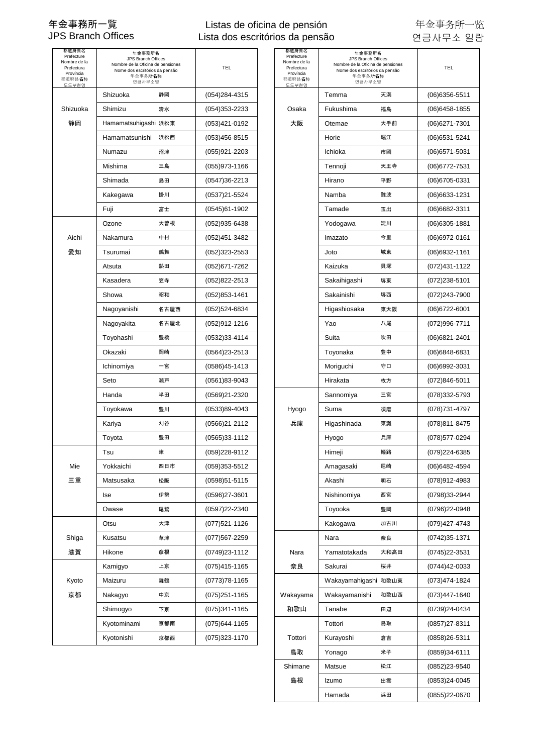### Listas de oficina de pensión Lista dos escritórios da pensão

| 都道府県名<br>Prefecture<br>Nombre de la<br>Prefectura<br>Província<br>都道府县名称<br>도도부현명 | 年金事務所名<br>JPS Branch Offices<br>Nombre de la Oficina de pensiones<br>Nome dos escritórios da pensão<br>年金事务所名称<br>연금사무소명 |      | TEL               | 都道府県名<br>Prefecture<br>Nombre de la<br>Prefectura<br>Província<br>都道府县名称<br>도도부현명 | 年金事務所名<br>JPS Branch Offices<br>Nombre de la Oficina de pensiones<br>Nome dos escritórios da pensão<br>年金事务所名称<br>연금사무소명 |      | TEL               |
|-----------------------------------------------------------------------------------|--------------------------------------------------------------------------------------------------------------------------|------|-------------------|-----------------------------------------------------------------------------------|--------------------------------------------------------------------------------------------------------------------------|------|-------------------|
|                                                                                   | Shizuoka                                                                                                                 | 静岡   | $(054)$ 284-4315  |                                                                                   | Temma                                                                                                                    | 天満   | $(06)6356 - 5511$ |
| Shizuoka                                                                          | Shimizu                                                                                                                  | 清水   | (054)353-2233     | Osaka                                                                             | Fukushima                                                                                                                | 福島   | (06)6458-1855     |
| 静岡                                                                                | Hamamatsuhigashi 浜松東                                                                                                     |      | (053)421-0192     | 大阪                                                                                | Otemae                                                                                                                   | 大手前  | (06)6271-7301     |
|                                                                                   | Hamamatsunishi 浜松西                                                                                                       |      | (053)456-8515     |                                                                                   | Horie                                                                                                                    | 堀江   | (06) 6531-5241    |
|                                                                                   | Numazu                                                                                                                   | 沼津   | (055)921-2203     |                                                                                   | Ichioka                                                                                                                  | 市岡   | (06)6571-5031     |
|                                                                                   | Mishima                                                                                                                  | 三島   | (055)973-1166     |                                                                                   | Tennoji                                                                                                                  | 天王寺  | (06) 6772-7531    |
|                                                                                   | Shimada                                                                                                                  | 島田   | $(0547)36 - 2213$ |                                                                                   | Hirano                                                                                                                   | 平野   | (06)6705-0331     |
|                                                                                   | Kakegawa                                                                                                                 | 掛川   | (0537)21-5524     |                                                                                   | Namba                                                                                                                    | 難波   | (06)6633-1231     |
|                                                                                   | Fuji                                                                                                                     | 富士   | (0545)61-1902     |                                                                                   | Tamade                                                                                                                   | 玉出   | (06)6682-3311     |
|                                                                                   | Ozone                                                                                                                    | 大曽根  | (052)935-6438     |                                                                                   | Yodogawa                                                                                                                 | 淀川   | (06)6305-1881     |
| Aichi                                                                             | Nakamura                                                                                                                 | 中村   | (052)451-3482     |                                                                                   | Imazato                                                                                                                  | 今里   | (06)6972-0161     |
| 愛知                                                                                | Tsurumai                                                                                                                 | 鶴舞   | (052)323-2553     |                                                                                   | Joto                                                                                                                     | 城東   | (06)6932-1161     |
|                                                                                   | Atsuta                                                                                                                   | 熱田   | (052) 671-7262    |                                                                                   | Kaizuka                                                                                                                  | 貝塚   | (072)431-1122     |
|                                                                                   | Kasadera                                                                                                                 | 笠寺   | (052)822-2513     |                                                                                   | Sakaihigashi                                                                                                             | 堺東   | (072)238-5101     |
|                                                                                   | Showa                                                                                                                    | 昭和   | (052)853-1461     |                                                                                   | Sakainishi                                                                                                               | 堺西   | (072)243-7900     |
|                                                                                   | Nagoyanishi                                                                                                              | 名古屋西 | (052)524-6834     |                                                                                   | Higashiosaka                                                                                                             | 東大阪  | (06)6722-6001     |
|                                                                                   | Nagoyakita                                                                                                               | 名古屋北 | (052)912-1216     |                                                                                   | Yao                                                                                                                      | 八尾   | (072)996-7711     |
|                                                                                   | Toyohashi                                                                                                                | 豊橋   | (0532)33-4114     |                                                                                   | Suita                                                                                                                    | 吹田   | (06)6821-2401     |
|                                                                                   | Okazaki                                                                                                                  | 岡崎   | $(0564)23 - 2513$ |                                                                                   | Toyonaka                                                                                                                 | 豊中   | (06)6848-6831     |
|                                                                                   | Ichinomiya                                                                                                               | 一宮   | (0586)45-1413     |                                                                                   | Moriguchi                                                                                                                | 守口   | (06)6992-3031     |
|                                                                                   | Seto                                                                                                                     | 瀬戸   | (0561)83-9043     |                                                                                   | Hirakata                                                                                                                 | 枚方   | (072)846-5011     |
|                                                                                   | Handa                                                                                                                    | 半田   | (0569)21-2320     |                                                                                   | Sannomiya                                                                                                                | 三宮   | (078)332-5793     |
|                                                                                   | Toyokawa                                                                                                                 | 豊川   | (0533)89-4043     | Hyogo                                                                             | Suma                                                                                                                     | 須磨   | (078)731-4797     |
|                                                                                   | Kariya                                                                                                                   | 刈谷   | (0566)21-2112     | 兵庫                                                                                | Higashinada                                                                                                              | 東灘   | (078)811-8475     |
|                                                                                   | Toyota                                                                                                                   | 豊田   | $(0565)33-1112$   |                                                                                   | Hyogo                                                                                                                    | 兵庫   | (078)577-0294     |
|                                                                                   | Tsu                                                                                                                      | 津    | (059)228-9112     |                                                                                   | Himeji                                                                                                                   | 姫路   | (079)224-6385     |
| Mie                                                                               | Yokkaichi                                                                                                                | 四日市  | (059)353-5512     |                                                                                   | Amagasaki                                                                                                                | 尼崎   | (06)6482-4594     |
| 三重                                                                                | Matsusaka                                                                                                                | 松阪   | $(0598)51 - 5115$ |                                                                                   | Akashi                                                                                                                   | 明石   | (078)912-4983     |
|                                                                                   | lse                                                                                                                      | 伊勢   | (0596)27-3601     |                                                                                   | Nishinomiya                                                                                                              | 西宮   | (0798)33-2944     |
|                                                                                   | Owase                                                                                                                    | 尾鷲   | (0597)22-2340     |                                                                                   | Toyooka                                                                                                                  | 豊岡   | (0796)22-0948     |
|                                                                                   | Otsu                                                                                                                     | 大津   | (077)521-1126     |                                                                                   | Kakogawa                                                                                                                 | 加古川  | (079)427-4743     |
| Shiga                                                                             | Kusatsu                                                                                                                  | 草津   | (077)567-2259     |                                                                                   | Nara                                                                                                                     | 奈良   | (0742)35-1371     |
| 滋賀                                                                                | Hikone                                                                                                                   | 彦根   | (0749)23-1112     | Nara                                                                              | Yamatotakada                                                                                                             | 大和高田 | (0745)22-3531     |
|                                                                                   | Kamigyo                                                                                                                  | 上京   | (075)415-1165     | 奈良                                                                                | Sakurai                                                                                                                  | 桜井   | (0744)42-0033     |
| Kyoto                                                                             | Maizuru                                                                                                                  | 舞鶴   | (0773)78-1165     |                                                                                   | Wakayamahigashi 和歌山東                                                                                                     |      | (073)474-1824     |
| 京都                                                                                | Nakagyo                                                                                                                  | 中京   | $(075)251 - 1165$ | Wakayama                                                                          | Wakayamanishi                                                                                                            | 和歌山西 | (073)447-1640     |
|                                                                                   | Shimogyo                                                                                                                 | 下京   | (075)341-1165     | 和歌山                                                                               | Tanabe                                                                                                                   | 田辺   | (0739)24-0434     |
|                                                                                   | Kyotominami                                                                                                              | 京都南  | (075)644-1165     |                                                                                   | Tottori                                                                                                                  | 鳥取   | (0857)27-8311     |
|                                                                                   | Kyotonishi                                                                                                               | 京都西  | (075)323-1170     | Tottori                                                                           | Kurayoshi                                                                                                                | 倉吉   | (0858)26-5311     |
|                                                                                   |                                                                                                                          |      |                   |                                                                                   |                                                                                                                          |      |                   |

| <b>ß道府県名</b><br>refecture<br>mbre de la<br><sup>2</sup> refectura<br>Província<br>道府县名称<br>도부현명 | 年金事務所名<br>JPS Branch Offices<br>Nombre de la Oficina de pensiones<br>Nome dos escritórios da pensão<br>年金事务所名称<br>연금사무소명 |      | TEL               | 都道府県名<br>Prefecture<br>Nombre de la<br>Prefectura<br>Província<br>都道府县名称<br>도도부현명 | 年金事務所名<br>JPS Branch Offices<br>Nombre de la Oficina de pensiones<br>Nome dos escritórios da pensão<br>年金事务所名称<br>연금사무소명 |      | <b>TEL</b>        |
|-------------------------------------------------------------------------------------------------|--------------------------------------------------------------------------------------------------------------------------|------|-------------------|-----------------------------------------------------------------------------------|--------------------------------------------------------------------------------------------------------------------------|------|-------------------|
|                                                                                                 | Shizuoka                                                                                                                 | 静岡   | $(054)$ 284-4315  |                                                                                   | Temma                                                                                                                    | 天満   | $(06)6356 - 5511$ |
| hizuoka                                                                                         | Shimizu                                                                                                                  | 清水   | $(054)353 - 2233$ | Osaka                                                                             | Fukushima                                                                                                                | 福島   | $(06)6458 - 1855$ |
| 静岡                                                                                              | Hamamatsuhigashi 浜松東                                                                                                     |      | (053)421-0192     | 大阪                                                                                | Otemae                                                                                                                   | 大手前  | $(06)6271 - 7301$ |
|                                                                                                 | Hamamatsunishi                                                                                                           | 浜松西  | $(053)456 - 8515$ |                                                                                   | Horie                                                                                                                    | 堀江   | $(06)6531 - 5241$ |
|                                                                                                 | Numazu                                                                                                                   | 沼津   | (055)921-2203     |                                                                                   | Ichioka                                                                                                                  | 市岡   | $(06)$ 6571-5031  |
|                                                                                                 | Mishima                                                                                                                  | 三島   | $(055)973-1166$   |                                                                                   | Tennoji                                                                                                                  | 天王寺  | $(06)$ 6772-7531  |
|                                                                                                 | Shimada                                                                                                                  | 島田   | $(0547)36 - 2213$ |                                                                                   | Hirano                                                                                                                   | 平野   | $(06)6705 - 0331$ |
|                                                                                                 | Kakegawa                                                                                                                 | 掛川   | (0537)21-5524     |                                                                                   | Namba                                                                                                                    | 難波   | $(06)6633 - 1231$ |
|                                                                                                 | Fuji                                                                                                                     | 富士   | $(0545)61-1902$   |                                                                                   | Tamade                                                                                                                   | 玉出   | $(06)6682 - 3311$ |
|                                                                                                 | Ozone                                                                                                                    | 大曽根  | $(052)935 - 6438$ |                                                                                   | Yodogawa                                                                                                                 | 淀川   | $(06)6305 - 1881$ |
| Aichi                                                                                           | Nakamura                                                                                                                 | 中村   | (052)451-3482     |                                                                                   | Imazato                                                                                                                  | 今里   | $(06)6972 - 0161$ |
| 愛知                                                                                              | Tsurumai                                                                                                                 | 鶴舞   | $(052)323 - 2553$ |                                                                                   | Joto                                                                                                                     | 城東   | $(06)6932 - 1161$ |
|                                                                                                 | Atsuta                                                                                                                   | 熱田   | (052)671-7262     |                                                                                   | Kaizuka                                                                                                                  | 貝塚   | (072)431-1122     |
|                                                                                                 | Kasadera                                                                                                                 | 笠寺   | $(052)822 - 2513$ |                                                                                   | Sakaihigashi                                                                                                             | 堺東   | $(072)238 - 5101$ |
|                                                                                                 | Showa                                                                                                                    | 昭和   | $(052)853 - 1461$ |                                                                                   | Sakainishi                                                                                                               | 堺西   | (072)243-7900     |
|                                                                                                 | Nagoyanishi                                                                                                              | 名古屋西 | (052)524-6834     |                                                                                   | Higashiosaka                                                                                                             | 東大阪  | $(06)6722 - 6001$ |
|                                                                                                 | Nagoyakita                                                                                                               | 名古屋北 | (052)912-1216     |                                                                                   | Yao                                                                                                                      | 八尾   | (072)996-7711     |
|                                                                                                 | Toyohashi                                                                                                                | 豊橋   | $(0532)33 - 4114$ |                                                                                   | Suita                                                                                                                    | 吹田   | $(06)6821 - 2401$ |
|                                                                                                 | Okazaki                                                                                                                  | 岡崎   | (0564)23-2513     |                                                                                   | Toyonaka                                                                                                                 | 豊中   | $(06)6848-6831$   |
|                                                                                                 | Ichinomiya                                                                                                               | 一宮   | $(0586)45-1413$   |                                                                                   | Moriguchi                                                                                                                | 守口   | $(06)6992 - 3031$ |
|                                                                                                 | Seto                                                                                                                     | 瀬戸   | $(0561)83 - 9043$ |                                                                                   | Hirakata                                                                                                                 | 枚方   | $(072)846 - 5011$ |
|                                                                                                 | Handa                                                                                                                    | 半田   | (0569)21-2320     |                                                                                   | Sannomiya                                                                                                                | 三宮   | (078)332-5793     |
|                                                                                                 | Toyokawa                                                                                                                 | 豊川   | $(0533)89-4043$   | Hyogo                                                                             | Suma                                                                                                                     | 須磨   | (078)731-4797     |
|                                                                                                 | Kariya                                                                                                                   | 刈谷   | $(0566)21 - 2112$ | 兵庫                                                                                | Higashinada                                                                                                              | 東灘   | (078)811-8475     |
|                                                                                                 | Toyota                                                                                                                   | 豊田   | $(0565)33-1112$   |                                                                                   | Hyogo                                                                                                                    | 兵庫   | (078)577-0294     |
|                                                                                                 | Tsu                                                                                                                      | 津    | (059)228-9112     |                                                                                   | Himeji                                                                                                                   | 姫路   | (079)224-6385     |
| Mie                                                                                             | Yokkaichi                                                                                                                | 四日市  | (059)353-5512     |                                                                                   | Amagasaki                                                                                                                | 尼崎   | (06)6482-4594     |
| 三重                                                                                              | Matsusaka                                                                                                                | 松阪   | $(0598)51 - 5115$ |                                                                                   | Akashi                                                                                                                   | 明石   | (078)912-4983     |
|                                                                                                 | Ise                                                                                                                      | 伊勢   | (0596)27-3601     |                                                                                   | Nishinomiya                                                                                                              | 西宮   | (0798)33-2944     |
|                                                                                                 | Owase                                                                                                                    | 尾鷲   | (0597)22-2340     |                                                                                   | Toyooka                                                                                                                  | 豊岡   | (0796)22-0948     |
|                                                                                                 | Otsu                                                                                                                     | 大津   | (077)521-1126     |                                                                                   | Kakogawa                                                                                                                 | 加古川  | (079)427-4743     |
| Shiga                                                                                           | Kusatsu                                                                                                                  | 草津   | (077)567-2259     |                                                                                   | Nara                                                                                                                     | 奈良   | $(0742)35 - 1371$ |
| 滋賀                                                                                              | Hikone                                                                                                                   | 彦根   | (0749)23-1112     | Nara                                                                              | Yamatotakada                                                                                                             | 大和高田 | (0745)22-3531     |
|                                                                                                 | Kamigyo                                                                                                                  | 上京   | (075)415-1165     | 奈良                                                                                | Sakurai                                                                                                                  | 桜井   | (0744)42-0033     |
| Kyoto                                                                                           | Maizuru                                                                                                                  | 舞鶴   | $(0773)78 - 1165$ |                                                                                   | Wakayamahigashi 和歌山東                                                                                                     |      | (073)474-1824     |
| 京都                                                                                              | Nakagyo                                                                                                                  | 中京   | $(075)251 - 1165$ | Wakayama                                                                          | Wakayamanishi                                                                                                            | 和歌山西 | (073)447-1640     |
|                                                                                                 | Shimogyo                                                                                                                 | 下京   | (075)341-1165     | 和歌山                                                                               | Tanabe                                                                                                                   | 田辺   | (0739)24-0434     |
|                                                                                                 | Kyotominami                                                                                                              | 京都南  | $(075)644-1165$   |                                                                                   | Tottori                                                                                                                  | 鳥取   | $(0857)27 - 8311$ |
|                                                                                                 | Kyotonishi                                                                                                               | 京都西  | (075)323-1170     | Tottori                                                                           | Kurayoshi                                                                                                                | 倉吉   | $(0858)26 - 5311$ |
|                                                                                                 |                                                                                                                          |      |                   | 鳥取                                                                                | Yonago                                                                                                                   | 米子   | $(0859)34-6111$   |
|                                                                                                 |                                                                                                                          |      |                   | Shimane                                                                           | Matsue                                                                                                                   | 松江   | (0852)23-9540     |
|                                                                                                 |                                                                                                                          |      |                   | 島根                                                                                | Izumo                                                                                                                    | 出雲   | $(0853)24 - 0045$ |
|                                                                                                 |                                                                                                                          |      |                   |                                                                                   | Hamada                                                                                                                   | 浜田   | (0855)22-0670     |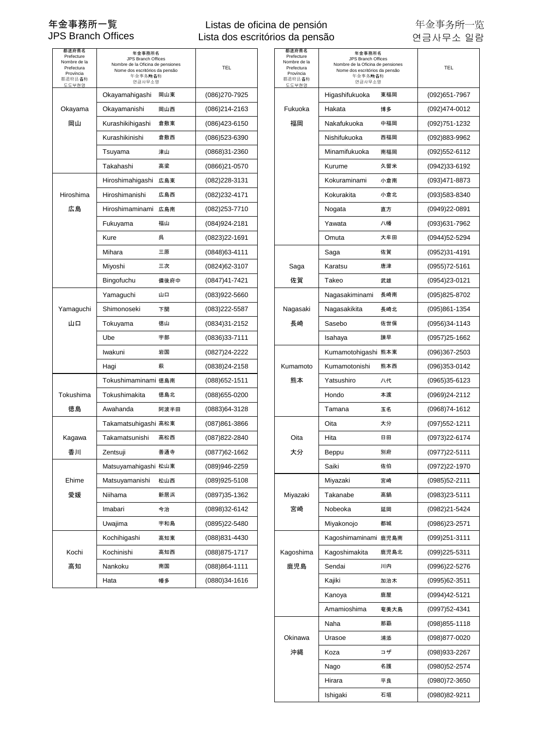### Listas de oficina de pensión Lista dos escritórios da pensão

| 都道府県名<br>Prefecture<br>Nombre de la<br>Prefectura<br>Província<br>都道府县名称<br>도도부현명 | 年金事務所名<br>JPS Branch Offices<br>Nombre de la Oficina de pensiones<br>Nome dos escritórios da pensão<br>年金事务所名称<br>연금사무소명 |      | TEL               | 都道府県名<br>Prefecture<br>Nombre de la<br>Prefectura<br>Província<br>都道府县名称<br>도도부현명 | 年金事務所名<br>JPS Branch Offices<br>Nombre de la Oficina de pensiones<br>Nome dos escritórios da pensão<br>年金事务所名称<br>연금사무소명 |      | <b>TEL</b>        |
|-----------------------------------------------------------------------------------|--------------------------------------------------------------------------------------------------------------------------|------|-------------------|-----------------------------------------------------------------------------------|--------------------------------------------------------------------------------------------------------------------------|------|-------------------|
|                                                                                   | Okayamahigashi                                                                                                           | 岡山東  | (086) 270-7925    |                                                                                   | Higashifukuoka                                                                                                           | 東福岡  | (092) 651-7967    |
| Okayama                                                                           | Okayamanishi                                                                                                             | 岡山西  | (086)214-2163     | Fukuoka                                                                           | Hakata                                                                                                                   | 博多   | (092)474-0012     |
| 岡山                                                                                | Kurashikihigashi                                                                                                         | 倉敷東  | $(086)423-6150$   | 福岡                                                                                | Nakafukuoka                                                                                                              | 中福岡  | (092)751-1232     |
|                                                                                   | Kurashikinishi                                                                                                           | 倉敷西  | (086)523-6390     |                                                                                   | Nishifukuoka                                                                                                             | 西福岡  | (092)883-9962     |
|                                                                                   | Tsuyama                                                                                                                  | 津山   | (0868)31-2360     |                                                                                   | Minamifukuoka                                                                                                            | 南福岡  | (092)552-6112     |
|                                                                                   | Takahashi                                                                                                                | 高梁   | (0866)21-0570     |                                                                                   | Kurume                                                                                                                   | 久留米  | (0942)33-6192     |
|                                                                                   | Hiroshimahigashi 広島東                                                                                                     |      | (082) 228-3131    |                                                                                   | Kokuraminami                                                                                                             | 小倉南  | (093)471-8873     |
| Hiroshima                                                                         | Hiroshimanishi                                                                                                           | 広島西  | (082)232-4171     |                                                                                   | Kokurakita                                                                                                               | 小倉北  | (093)583-8340     |
| 広島                                                                                | Hiroshimaminami 広島南                                                                                                      |      | (082) 253-7710    |                                                                                   | Nogata                                                                                                                   | 直方   | (0949)22-0891     |
|                                                                                   | Fukuyama                                                                                                                 | 福山   | $(084)924 - 2181$ |                                                                                   | Yawata                                                                                                                   | 八幡   | (093)631-7962     |
|                                                                                   | Kure                                                                                                                     | 呉    | $(0823)22 - 1691$ |                                                                                   | Omuta                                                                                                                    | 大牟田  | (0944)52-5294     |
|                                                                                   | Mihara                                                                                                                   | 三原   | $(0848)63 - 4111$ |                                                                                   | Saga                                                                                                                     | 佐賀   | (0952)31-4191     |
|                                                                                   | Miyoshi                                                                                                                  | 三次   | (0824) 62-3107    | Saga                                                                              | Karatsu                                                                                                                  | 唐津   | (0955)72-5161     |
|                                                                                   | Bingofuchu                                                                                                               | 備後府中 | (0847)41-7421     | 佐賀                                                                                | Takeo                                                                                                                    | 武雄   | (0954)23-0121     |
|                                                                                   | Yamaguchi                                                                                                                | 山口   | (083)922-5660     |                                                                                   | Nagasakiminami                                                                                                           | 長崎南  | (095)825-8702     |
| Yamaguchi                                                                         | Shimonoseki                                                                                                              | 下関   | $(083)222 - 5587$ | Nagasaki                                                                          | Nagasakikita                                                                                                             | 長崎北  | (095)861-1354     |
| 山口                                                                                | Tokuyama                                                                                                                 | 徳山   | (0834)31-2152     | 長崎                                                                                | Sasebo                                                                                                                   | 佐世保  | (0956)34-1143     |
|                                                                                   | Ube                                                                                                                      | 宇部   | $(0836)33-7111$   |                                                                                   | Isahaya                                                                                                                  | 諫早   | (0957)25-1662     |
|                                                                                   | Iwakuni                                                                                                                  | 岩国   | (0827)24-2222     |                                                                                   | Kumamotohigashi 熊本東                                                                                                      |      | (096)367-2503     |
|                                                                                   | Hagi                                                                                                                     | 萩    | $(0838)24 - 2158$ | Kumamoto                                                                          | Kumamotonishi                                                                                                            | 熊本西  | (096)353-0142     |
|                                                                                   | Tokushimaminami 徳島南                                                                                                      |      | $(088)652 - 1511$ | 熊本                                                                                | Yatsushiro                                                                                                               | 八代   | (0965)35-6123     |
| Tokushima                                                                         | Tokushimakita                                                                                                            | 徳島北  | $(088)655 - 0200$ |                                                                                   | Hondo                                                                                                                    | 本渡   | (0969)24-2112     |
| 徳島                                                                                | Awahanda                                                                                                                 | 阿波半田 | (0883)64-3128     |                                                                                   | Tamana                                                                                                                   | 玉名   | (0968)74-1612     |
|                                                                                   | Takamatsuhigashi 高松東                                                                                                     |      | $(087)861 - 3866$ |                                                                                   | Oita                                                                                                                     | 大分   | (097) 552-1211    |
| Kagawa                                                                            | Takamatsunishi                                                                                                           | 高松西  | (087) 822-2840    | Oita                                                                              | Hita                                                                                                                     | 日田   | (0973)22-6174     |
| 香川                                                                                | Zentsuji                                                                                                                 | 善通寺  | (0877) 62-1662    | 大分                                                                                | Beppu                                                                                                                    | 別府   | (0977)22-5111     |
|                                                                                   | Matsuyamahigashi 松山東                                                                                                     |      | (089)946-2259     |                                                                                   | Saiki                                                                                                                    | 佐伯   | (0972)22-1970     |
| Ehime                                                                             | Matsuyamanishi                                                                                                           | 松山西  | (089)925-5108     |                                                                                   | Miyazaki                                                                                                                 | 宮崎   | (0985)52-2111     |
| 愛媛                                                                                | Niihama                                                                                                                  | 新居浜  | (0897)35-1362     | Miyazaki                                                                          | Takanabe                                                                                                                 | 高鍋   | $(0983)23 - 5111$ |
|                                                                                   | Imabari                                                                                                                  | 今治   | (0898)32-6142     | 宮崎                                                                                | Nobeoka                                                                                                                  | 延岡   | (0982)21-5424     |
|                                                                                   | Uwajima                                                                                                                  | 宇和島  | (0895)22-5480     |                                                                                   | Miyakonojo                                                                                                               | 都城   | (0986)23-2571     |
|                                                                                   | Kochihigashi                                                                                                             | 高知東  | (088) 831-4430    |                                                                                   | Kagoshimaminami 鹿児島南                                                                                                     |      | (099)251-3111     |
| Kochi                                                                             | Kochinishi                                                                                                               | 高知西  | $(088)875 - 1717$ | Kagoshima                                                                         | Kagoshimakita                                                                                                            | 鹿児島北 | (099)225-5311     |
| 高知                                                                                | Nankoku                                                                                                                  | 南国   | $(088)864 - 1111$ | 鹿児島                                                                               | Sendai                                                                                                                   | 川内   | (0996)22-5276     |
|                                                                                   | Hata                                                                                                                     | 幡多   | $(0880)34-1616$   |                                                                                   | Kajiki                                                                                                                   | 加治木  | (0995)62-3511     |
|                                                                                   |                                                                                                                          |      |                   |                                                                                   |                                                                                                                          |      |                   |

| ™3道府県名<br>Prefecture<br>ombre de la<br><sup>o</sup> refectura<br>Província<br>道府县名称<br>E도부현명 | 年金事務所名<br>JPS Branch Offices<br>Nombre de la Oficina de pensiones<br>Nome dos escritórios da pensão<br>年金事务所名称<br>연금사무소명 |      | <b>TEL</b>     | 都道府県名<br>Prefecture<br>Nombre de la<br>Prefectura<br>Província<br>都道府县名称<br>도도부현명 | 年金事務所名<br>JPS Branch Offices<br>Nombre de la Oficina de pensiones<br>Nome dos escritórios da pensão<br>年金事务所名称<br>연금사무소명 |      | <b>TEL</b>        |
|----------------------------------------------------------------------------------------------|--------------------------------------------------------------------------------------------------------------------------|------|----------------|-----------------------------------------------------------------------------------|--------------------------------------------------------------------------------------------------------------------------|------|-------------------|
|                                                                                              | Okayamahigashi                                                                                                           | 岡山東  | (086)270-7925  |                                                                                   | Higashifukuoka                                                                                                           | 東福岡  | (092) 651-7967    |
| kayama                                                                                       | Okayamanishi                                                                                                             | 岡山西  | (086)214-2163  | Fukuoka                                                                           | Hakata                                                                                                                   | 博多   | (092)474-0012     |
| 岡山                                                                                           | Kurashikihigashi                                                                                                         | 倉敷東  | (086)423-6150  | 福岡                                                                                | Nakafukuoka                                                                                                              | 中福岡  | (092)751-1232     |
|                                                                                              | Kurashikinishi                                                                                                           | 倉敷西  | (086)523-6390  |                                                                                   | Nishifukuoka                                                                                                             | 西福岡  | (092)883-9962     |
|                                                                                              | Tsuyama                                                                                                                  | 津山   | (0868)31-2360  |                                                                                   | Minamifukuoka                                                                                                            | 南福岡  | (092)552-6112     |
|                                                                                              | Takahashi                                                                                                                | 高梁   | (0866)21-0570  |                                                                                   | Kurume                                                                                                                   | 久留米  | (0942)33-6192     |
|                                                                                              | Hiroshimahigashi 広島東                                                                                                     |      | (082)228-3131  |                                                                                   | Kokuraminami                                                                                                             | 小倉南  | (093)471-8873     |
| iroshima                                                                                     | Hiroshimanishi                                                                                                           | 広島西  | (082)232-4171  |                                                                                   | Kokurakita                                                                                                               | 小倉北  | (093)583-8340     |
| 広島                                                                                           | Hiroshimaminami 広島南                                                                                                      |      | (082)253-7710  |                                                                                   | Nogata                                                                                                                   | 直方   | (0949)22-0891     |
|                                                                                              | Fukuyama                                                                                                                 | 福山   | (084)924-2181  |                                                                                   | Yawata                                                                                                                   | 八幡   | (093)631-7962     |
|                                                                                              | Kure                                                                                                                     | 呉    | (0823)22-1691  |                                                                                   | Omuta                                                                                                                    | 大牟田  | (0944)52-5294     |
|                                                                                              | Mihara                                                                                                                   | 三原   | (0848)63-4111  |                                                                                   | Saga                                                                                                                     | 佐賀   | $(0952)31 - 4191$ |
|                                                                                              | Miyoshi                                                                                                                  | 三次   | (0824)62-3107  | Saga                                                                              | Karatsu                                                                                                                  | 唐津   | (0955)72-5161     |
|                                                                                              | Bingofuchu                                                                                                               | 備後府中 | (0847)41-7421  | 佐賀                                                                                | Takeo                                                                                                                    | 武雄   | (0954)23-0121     |
|                                                                                              | Yamaguchi                                                                                                                | 山口   | (083)922-5660  |                                                                                   | Nagasakiminami                                                                                                           | 長崎南  | (095)825-8702     |
| ımaguchi                                                                                     | Shimonoseki                                                                                                              | 下関   | (083)222-5587  | Nagasaki                                                                          | Nagasakikita                                                                                                             | 長崎北  | (095)861-1354     |
| 山口                                                                                           | Tokuyama                                                                                                                 | 徳山   | (0834)31-2152  | 長崎                                                                                | Sasebo                                                                                                                   | 佐世保  | (0956)34-1143     |
|                                                                                              | Ube                                                                                                                      | 宇部   | (0836)33-7111  |                                                                                   | Isahaya                                                                                                                  | 諫早   | (0957)25-1662     |
|                                                                                              | Iwakuni                                                                                                                  | 岩国   | (0827)24-2222  |                                                                                   | Kumamotohigashi 熊本東                                                                                                      |      | (096)367-2503     |
|                                                                                              | Hagi                                                                                                                     | 萩    | (0838)24-2158  | Kumamoto                                                                          | Kumamotonishi                                                                                                            | 熊本西  | (096)353-0142     |
|                                                                                              | Tokushimaminami 徳島南                                                                                                      |      | (088)652-1511  | 熊本                                                                                | Yatsushiro                                                                                                               | 八代   | (0965)35-6123     |
| ıkushima                                                                                     | Tokushimakita                                                                                                            | 徳島北  | (088) 655-0200 |                                                                                   | Hondo                                                                                                                    | 本渡   | (0969)24-2112     |
| 徳島                                                                                           | Awahanda                                                                                                                 | 阿波半田 | (0883)64-3128  |                                                                                   | Tamana                                                                                                                   | 玉名   | (0968)74-1612     |
|                                                                                              | Takamatsuhigashi 高松東                                                                                                     |      | (087)861-3866  |                                                                                   | Oita                                                                                                                     | 大分   | $(097)552 - 1211$ |
| agawa                                                                                        | Takamatsunishi                                                                                                           | 高松西  | (087) 822-2840 | Oita                                                                              | Hita                                                                                                                     | 日田   | (0973)22-6174     |
| 杳川                                                                                           | Zentsuji                                                                                                                 | 善通寺  | (0877)62-1662  | 大分                                                                                | Beppu                                                                                                                    | 別府   | (0977)22-5111     |
|                                                                                              | Matsuyamahigashi 松山東                                                                                                     |      | (089)946-2259  |                                                                                   | Saiki                                                                                                                    | 佐伯   | (0972)22-1970     |
| Ehime                                                                                        | Matsuyamanishi                                                                                                           | 松山西  | (089)925-5108  |                                                                                   | Miyazaki                                                                                                                 | 宮崎   | (0985)52-2111     |
| 愛媛                                                                                           | Niihama                                                                                                                  | 新居浜  | (0897)35-1362  | Miyazaki                                                                          | Takanabe                                                                                                                 | 高鍋   | $(0983)23 - 5111$ |
|                                                                                              | Imabari                                                                                                                  | 今治   | (0898)32-6142  | 宮崎                                                                                | Nobeoka                                                                                                                  | 延岡   | (0982)21-5424     |
|                                                                                              | Uwajima                                                                                                                  | 宇和島  | (0895)22-5480  |                                                                                   | Miyakonojo                                                                                                               | 都城   | (0986)23-2571     |
|                                                                                              | Kochihigashi                                                                                                             | 高知東  | (088)831-4430  |                                                                                   | Kagoshimaminami 鹿児島南                                                                                                     |      | (099)251-3111     |
| Kochi                                                                                        | Kochinishi                                                                                                               | 高知西  | (088) 875-1717 | Kagoshima                                                                         | Kagoshimakita                                                                                                            | 鹿児島北 | (099)225-5311     |
| 高知                                                                                           | Nankoku                                                                                                                  | 南国   | (088)864-1111  | 鹿児島                                                                               | Sendai                                                                                                                   | 川内   | (0996)22-5276     |
|                                                                                              | Hata                                                                                                                     | 幡多   | (0880)34-1616  |                                                                                   | Kajiki                                                                                                                   | 加治木  | (0995)62-3511     |
|                                                                                              |                                                                                                                          |      |                |                                                                                   | Kanoya                                                                                                                   | 鹿屋   | (0994)42-5121     |
|                                                                                              |                                                                                                                          |      |                |                                                                                   | Amamioshima                                                                                                              | 奄美大島 | (0997)52-4341     |
|                                                                                              |                                                                                                                          |      |                |                                                                                   | Naha                                                                                                                     | 那覇   | (098) 855-1118    |
|                                                                                              |                                                                                                                          |      |                | Okinawa                                                                           | Urasoe                                                                                                                   | 浦添   | (098)877-0020     |
|                                                                                              |                                                                                                                          |      |                | 沖縄                                                                                | Koza                                                                                                                     | コザ   | (098)933-2267     |
|                                                                                              |                                                                                                                          |      |                |                                                                                   | Nago                                                                                                                     | 名護   | (0980)52-2574     |
|                                                                                              |                                                                                                                          |      |                |                                                                                   | Hirara                                                                                                                   | 平良   | (0980)72-3650     |
|                                                                                              |                                                                                                                          |      |                |                                                                                   | Ishigaki                                                                                                                 | 石垣   | (0980)82-9211     |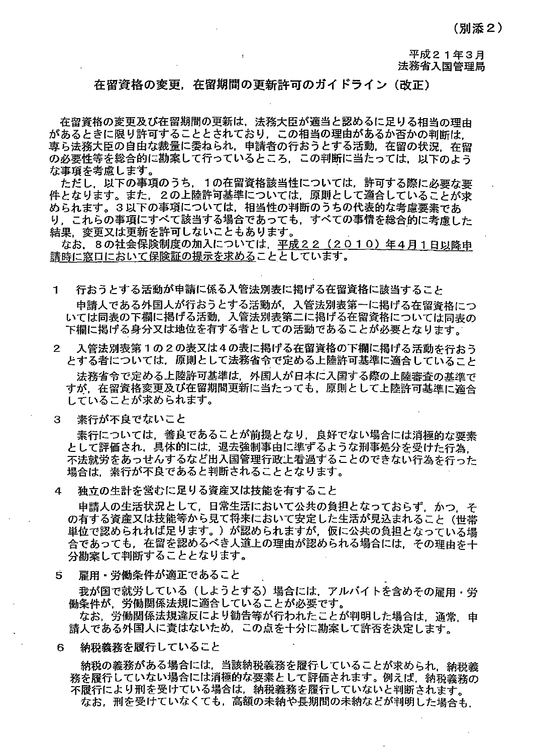(別添 2)

平成21年3月 法務省入国管理局

### 在留資格の変更,在留期聞の更新許可のガイドライン(改正〉

在留資格の変更及び在留期間の更新は,法務大臣が適当と認めるに足りる相当の理由 があるときに限り許可することとされており,この相当の理由があるか否かの判断は, .<br>東ら法務大臣の自由な裁量に委ねられ. 申請者の行おうとする活動, 在留の状況. 在留 の必要性等を総合的に勘案して行っているところ,この判断に当たっては、以下のよう な事項を考慮します。

ただし.以下の事項のうち. 1の在留資格該当性については,許可する際に必要な要 件となります。また、2の上陸許可基準については、原則として適合していることが求 められます。3以下の事項については、相当性の判断のうちの代表的な考慮要素であ り,これらの事項にすべて該当する場合であっても,すべての事情を総合的に考慮した 結果,変更又Iま更新を許可しないこともあります。

なお. 8の社会保険制度の加入については. 平成22 (2010) 年4月1日以降申 講時に窓口において保険証の提示を求めることとしています。

- 1 行おうとする活動が申請に係る入管法別表に掲げる在留資格に該当すること 申請人である外国人が行おうとする活動が,入管法別表第一に掲げる在留資格につ いては同表の下欄に掲げる活動,入管法別表第二に掲げる在留資格については同表の 下欄に掲げる身分又は地位を有する者としての活動であることが必要となります。
- 2 入管法別表第1の2の表又は4の表に掲げる在留資格の下欄に掲げる活動を行おう とする者については,原則として法務省令で定める上陸許可基準に適合していること 法務省令で定める上陸許可基準は,外国人が日本に入菌する際の上陸審査の基準で すが.在留資格変更及び在留期間更新!こ当たっても,原則として上陸許可基準に適合 していることが求められます。
- 3 素行が不良でないこと

素行については,善良であることが前提となり.良好でない場合には消極的な要素 として評価され,具体的には,退去強制事自に準ずるような刑事処分を受けた行為, 不法就労をあっせんするなど出入国管理行政主看過することのできない行為を行った 場合は,素行が不良であると判断されることとなります。

4 独立の生計を営むに足りる資産又は技能を有すること

申請人の生活状況として、日常生活において公共の負担となっておらず、かつ、そ の有する資産又は技能等から見て将来において安定した生活が見込まれること(世帯 単位で認められれば足ります。)が認められますが,仮に公共の負狙となっている場 合であっても,在留を認めるべき人道上の理由が認められる場合には,その理由を十 分勘案して判断することとなります。

5 雇用・労働条件が適正であること

我が国で就労している(しようとする)場合には,アルバイトを含めその雇用・労 働条件が,労働関係法規に適合していることが必要です。

なお. 労働関係法規違反により勧告等が行われたことが判明した場合は、通常、申 請人である外国人に責はないため,この点を十分に勘案して許否を決定します。

6 納税義務を履行していること

納税の義務がある場合には,当該納税義務を履行していることが求められ,納税義 務を履行していない場合には消極的な要素として評価されます。例えば,納税義務の 不履行により刑を受けている場合は,納税義務を履行していないと判断されます。 なお. 刑を受けていなくても, 高額の未納や長期間の未納などが判明した場合も.